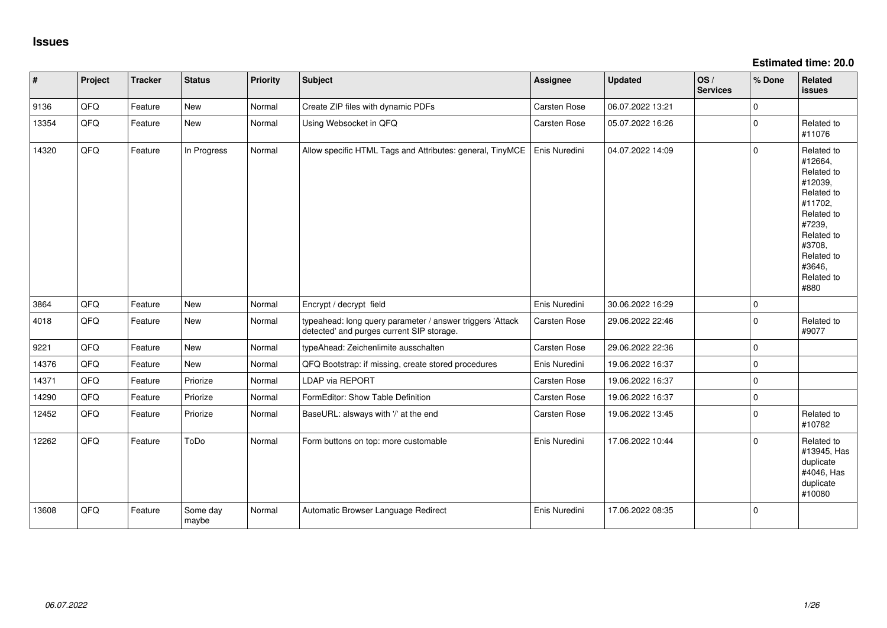**Estimated time: 20.0**

| #     | Project | <b>Tracker</b> | <b>Status</b>     | <b>Priority</b> | <b>Subject</b>                                                                                         | <b>Assignee</b> | <b>Updated</b>   | OS/<br><b>Services</b> | % Done      | <b>Related</b><br><b>issues</b>                                                                                                                                       |
|-------|---------|----------------|-------------------|-----------------|--------------------------------------------------------------------------------------------------------|-----------------|------------------|------------------------|-------------|-----------------------------------------------------------------------------------------------------------------------------------------------------------------------|
| 9136  | QFQ     | Feature        | New               | Normal          | Create ZIP files with dynamic PDFs                                                                     | Carsten Rose    | 06.07.2022 13:21 |                        | 0           |                                                                                                                                                                       |
| 13354 | QFQ     | Feature        | New               | Normal          | Using Websocket in QFQ                                                                                 | Carsten Rose    | 05.07.2022 16:26 |                        | $\Omega$    | Related to<br>#11076                                                                                                                                                  |
| 14320 | QFQ     | Feature        | In Progress       | Normal          | Allow specific HTML Tags and Attributes: general, TinyMCE                                              | Enis Nuredini   | 04.07.2022 14:09 |                        | $\Omega$    | Related to<br>#12664,<br>Related to<br>#12039,<br>Related to<br>#11702,<br>Related to<br>#7239,<br>Related to<br>#3708,<br>Related to<br>#3646,<br>Related to<br>#880 |
| 3864  | QFQ     | Feature        | <b>New</b>        | Normal          | Encrypt / decrypt field                                                                                | Enis Nuredini   | 30.06.2022 16:29 |                        | 0           |                                                                                                                                                                       |
| 4018  | QFQ     | Feature        | New               | Normal          | typeahead: long query parameter / answer triggers 'Attack<br>detected' and purges current SIP storage. | Carsten Rose    | 29.06.2022 22:46 |                        | $\mathbf 0$ | Related to<br>#9077                                                                                                                                                   |
| 9221  | QFQ     | Feature        | New               | Normal          | typeAhead: Zeichenlimite ausschalten                                                                   | Carsten Rose    | 29.06.2022 22:36 |                        | 0           |                                                                                                                                                                       |
| 14376 | QFQ     | Feature        | New               | Normal          | QFQ Bootstrap: if missing, create stored procedures                                                    | Enis Nuredini   | 19.06.2022 16:37 |                        | $\mathbf 0$ |                                                                                                                                                                       |
| 14371 | QFQ     | Feature        | Priorize          | Normal          | <b>LDAP via REPORT</b>                                                                                 | Carsten Rose    | 19.06.2022 16:37 |                        | $\Omega$    |                                                                                                                                                                       |
| 14290 | QFQ     | Feature        | Priorize          | Normal          | FormEditor: Show Table Definition                                                                      | Carsten Rose    | 19.06.2022 16:37 |                        | 0           |                                                                                                                                                                       |
| 12452 | QFQ     | Feature        | Priorize          | Normal          | BaseURL: alsways with '/' at the end                                                                   | Carsten Rose    | 19.06.2022 13:45 |                        | $\mathbf 0$ | Related to<br>#10782                                                                                                                                                  |
| 12262 | QFQ     | Feature        | ToDo              | Normal          | Form buttons on top: more customable                                                                   | Enis Nuredini   | 17.06.2022 10:44 |                        | $\Omega$    | Related to<br>#13945, Has<br>duplicate<br>#4046, Has<br>duplicate<br>#10080                                                                                           |
| 13608 | QFQ     | Feature        | Some day<br>maybe | Normal          | Automatic Browser Language Redirect                                                                    | Enis Nuredini   | 17.06.2022 08:35 |                        | 0           |                                                                                                                                                                       |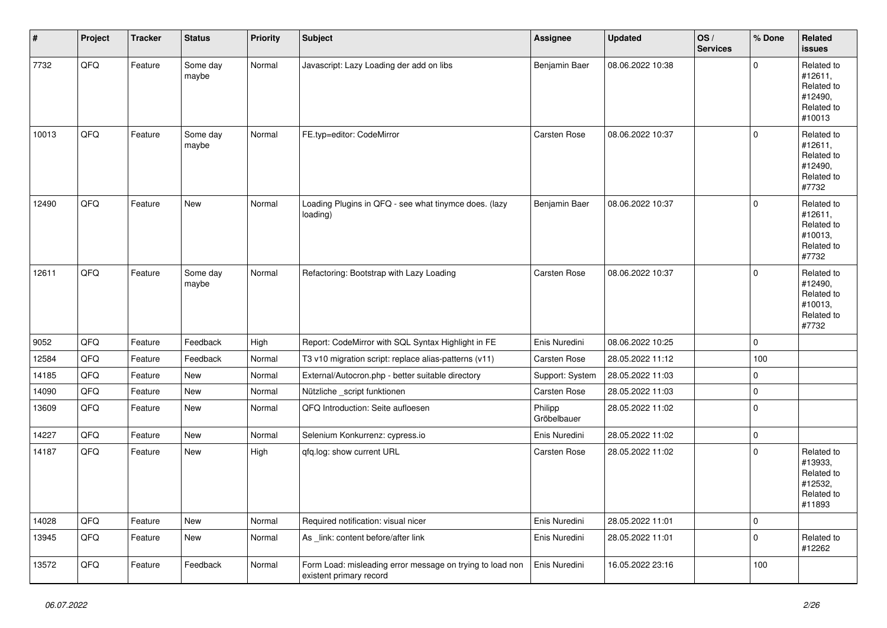| $\vert$ # | Project | <b>Tracker</b> | <b>Status</b>     | <b>Priority</b> | <b>Subject</b>                                                                       | <b>Assignee</b>        | <b>Updated</b>   | OS/<br><b>Services</b> | % Done              | <b>Related</b><br><b>issues</b>                                        |
|-----------|---------|----------------|-------------------|-----------------|--------------------------------------------------------------------------------------|------------------------|------------------|------------------------|---------------------|------------------------------------------------------------------------|
| 7732      | QFQ     | Feature        | Some day<br>maybe | Normal          | Javascript: Lazy Loading der add on libs                                             | Benjamin Baer          | 08.06.2022 10:38 |                        | $\Omega$            | Related to<br>#12611,<br>Related to<br>#12490,<br>Related to<br>#10013 |
| 10013     | QFQ     | Feature        | Some day<br>maybe | Normal          | FE.typ=editor: CodeMirror                                                            | Carsten Rose           | 08.06.2022 10:37 |                        | $\Omega$            | Related to<br>#12611,<br>Related to<br>#12490,<br>Related to<br>#7732  |
| 12490     | QFQ     | Feature        | <b>New</b>        | Normal          | Loading Plugins in QFQ - see what tinymce does. (lazy<br>loading)                    | Benjamin Baer          | 08.06.2022 10:37 |                        | $\mathbf{0}$        | Related to<br>#12611,<br>Related to<br>#10013,<br>Related to<br>#7732  |
| 12611     | QFQ     | Feature        | Some day<br>maybe | Normal          | Refactoring: Bootstrap with Lazy Loading                                             | Carsten Rose           | 08.06.2022 10:37 |                        | $\Omega$            | Related to<br>#12490,<br>Related to<br>#10013,<br>Related to<br>#7732  |
| 9052      | QFQ     | Feature        | Feedback          | High            | Report: CodeMirror with SQL Syntax Highlight in FE                                   | Enis Nuredini          | 08.06.2022 10:25 |                        | $\mathbf 0$         |                                                                        |
| 12584     | QFQ     | Feature        | Feedback          | Normal          | T3 v10 migration script: replace alias-patterns (v11)                                | Carsten Rose           | 28.05.2022 11:12 |                        | 100                 |                                                                        |
| 14185     | QFQ     | Feature        | <b>New</b>        | Normal          | External/Autocron.php - better suitable directory                                    | Support: System        | 28.05.2022 11:03 |                        | $\mathbf{0}$        |                                                                        |
| 14090     | QFQ     | Feature        | <b>New</b>        | Normal          | Nützliche _script funktionen                                                         | Carsten Rose           | 28.05.2022 11:03 |                        | $\mathbf{0}$        |                                                                        |
| 13609     | QFQ     | Feature        | <b>New</b>        | Normal          | QFQ Introduction: Seite aufloesen                                                    | Philipp<br>Gröbelbauer | 28.05.2022 11:02 |                        | $\mathbf{0}$        |                                                                        |
| 14227     | QFQ     | Feature        | <b>New</b>        | Normal          | Selenium Konkurrenz: cypress.io                                                      | Enis Nuredini          | 28.05.2022 11:02 |                        | $\mathbf{0}$        |                                                                        |
| 14187     | QFQ     | Feature        | <b>New</b>        | High            | qfq.log: show current URL                                                            | Carsten Rose           | 28.05.2022 11:02 |                        | $\mathbf{0}$        | Related to<br>#13933,<br>Related to<br>#12532,<br>Related to<br>#11893 |
| 14028     | QFQ     | Feature        | <b>New</b>        | Normal          | Required notification: visual nicer                                                  | Enis Nuredini          | 28.05.2022 11:01 |                        | $\mathsf{O}\xspace$ |                                                                        |
| 13945     | QFQ     | Feature        | <b>New</b>        | Normal          | As _link: content before/after link                                                  | Enis Nuredini          | 28.05.2022 11:01 |                        | $\Omega$            | Related to<br>#12262                                                   |
| 13572     | QFQ     | Feature        | Feedback          | Normal          | Form Load: misleading error message on trying to load non<br>existent primary record | Enis Nuredini          | 16.05.2022 23:16 |                        | 100                 |                                                                        |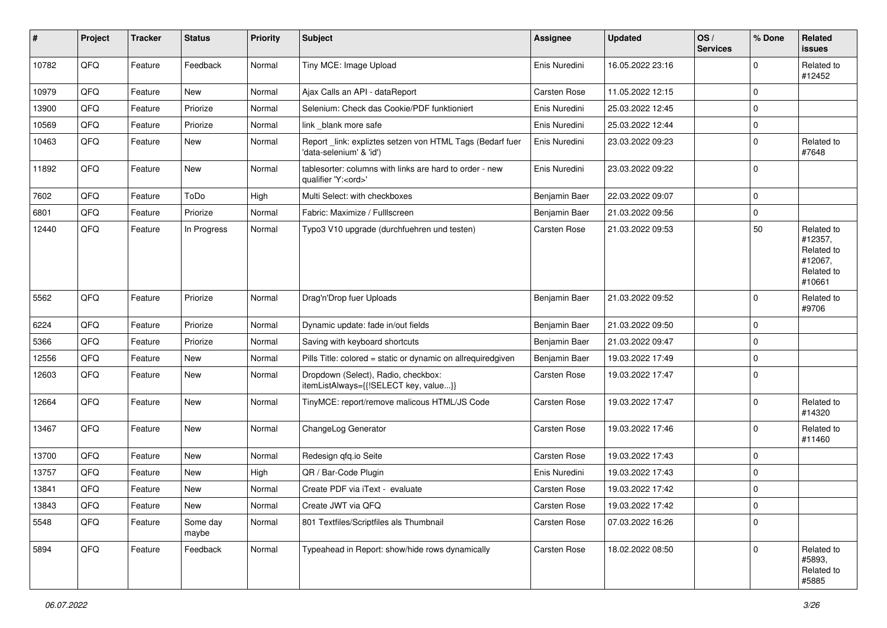| $\sharp$ | Project | <b>Tracker</b> | <b>Status</b>     | <b>Priority</b> | <b>Subject</b>                                                                        | Assignee      | <b>Updated</b>   | OS/<br><b>Services</b> | % Done       | Related<br><b>issues</b>                                               |
|----------|---------|----------------|-------------------|-----------------|---------------------------------------------------------------------------------------|---------------|------------------|------------------------|--------------|------------------------------------------------------------------------|
| 10782    | QFQ     | Feature        | Feedback          | Normal          | Tiny MCE: Image Upload                                                                | Enis Nuredini | 16.05.2022 23:16 |                        | $\Omega$     | Related to<br>#12452                                                   |
| 10979    | QFQ     | Feature        | New               | Normal          | Ajax Calls an API - dataReport                                                        | Carsten Rose  | 11.05.2022 12:15 |                        | 0            |                                                                        |
| 13900    | QFQ     | Feature        | Priorize          | Normal          | Selenium: Check das Cookie/PDF funktioniert                                           | Enis Nuredini | 25.03.2022 12:45 |                        | $\mathbf 0$  |                                                                        |
| 10569    | QFQ     | Feature        | Priorize          | Normal          | link blank more safe                                                                  | Enis Nuredini | 25.03.2022 12:44 |                        | $\mathbf 0$  |                                                                        |
| 10463    | QFQ     | Feature        | New               | Normal          | Report _link: expliztes setzen von HTML Tags (Bedarf fuer<br>'data-selenium' & 'id')  | Enis Nuredini | 23.03.2022 09:23 |                        | $\mathbf 0$  | Related to<br>#7648                                                    |
| 11892    | QFQ     | Feature        | New               | Normal          | tablesorter: columns with links are hard to order - new<br>qualifier 'Y: <ord>'</ord> | Enis Nuredini | 23.03.2022 09:22 |                        | $\mathbf 0$  |                                                                        |
| 7602     | QFQ     | Feature        | ToDo              | High            | Multi Select: with checkboxes                                                         | Benjamin Baer | 22.03.2022 09:07 |                        | $\mathbf 0$  |                                                                        |
| 6801     | QFQ     | Feature        | Priorize          | Normal          | Fabric: Maximize / Fulllscreen                                                        | Benjamin Baer | 21.03.2022 09:56 |                        | $\mathbf 0$  |                                                                        |
| 12440    | QFQ     | Feature        | In Progress       | Normal          | Typo3 V10 upgrade (durchfuehren und testen)                                           | Carsten Rose  | 21.03.2022 09:53 |                        | 50           | Related to<br>#12357,<br>Related to<br>#12067,<br>Related to<br>#10661 |
| 5562     | QFQ     | Feature        | Priorize          | Normal          | Drag'n'Drop fuer Uploads                                                              | Benjamin Baer | 21.03.2022 09:52 |                        | $\mathbf 0$  | Related to<br>#9706                                                    |
| 6224     | QFQ     | Feature        | Priorize          | Normal          | Dynamic update: fade in/out fields                                                    | Benjamin Baer | 21.03.2022 09:50 |                        | $\mathbf 0$  |                                                                        |
| 5366     | QFQ     | Feature        | Priorize          | Normal          | Saving with keyboard shortcuts                                                        | Benjamin Baer | 21.03.2022 09:47 |                        | 0            |                                                                        |
| 12556    | QFQ     | Feature        | New               | Normal          | Pills Title: colored = static or dynamic on allrequiredgiven                          | Benjamin Baer | 19.03.2022 17:49 |                        | $\mathbf 0$  |                                                                        |
| 12603    | QFQ     | Feature        | New               | Normal          | Dropdown (Select), Radio, checkbox:<br>itemListAlways={{!SELECT key, value}}          | Carsten Rose  | 19.03.2022 17:47 |                        | $\mathbf{0}$ |                                                                        |
| 12664    | QFQ     | Feature        | New               | Normal          | TinyMCE: report/remove malicous HTML/JS Code                                          | Carsten Rose  | 19.03.2022 17:47 |                        | $\mathbf 0$  | Related to<br>#14320                                                   |
| 13467    | QFQ     | Feature        | New               | Normal          | ChangeLog Generator                                                                   | Carsten Rose  | 19.03.2022 17:46 |                        | $\mathbf 0$  | Related to<br>#11460                                                   |
| 13700    | QFQ     | Feature        | New               | Normal          | Redesign qfq.io Seite                                                                 | Carsten Rose  | 19.03.2022 17:43 |                        | 0            |                                                                        |
| 13757    | QFQ     | Feature        | New               | High            | QR / Bar-Code Plugin                                                                  | Enis Nuredini | 19.03.2022 17:43 |                        | $\mathbf 0$  |                                                                        |
| 13841    | QFQ     | Feature        | New               | Normal          | Create PDF via iText - evaluate                                                       | Carsten Rose  | 19.03.2022 17:42 |                        | 0            |                                                                        |
| 13843    | QFQ     | Feature        | New               | Normal          | Create JWT via QFQ                                                                    | Carsten Rose  | 19.03.2022 17:42 |                        | 0            |                                                                        |
| 5548     | QFQ     | Feature        | Some day<br>maybe | Normal          | 801 Textfiles/Scriptfiles als Thumbnail                                               | Carsten Rose  | 07.03.2022 16:26 |                        | $\mathbf 0$  |                                                                        |
| 5894     | QFQ     | Feature        | Feedback          | Normal          | Typeahead in Report: show/hide rows dynamically                                       | Carsten Rose  | 18.02.2022 08:50 |                        | $\mathbf 0$  | Related to<br>#5893,<br>Related to<br>#5885                            |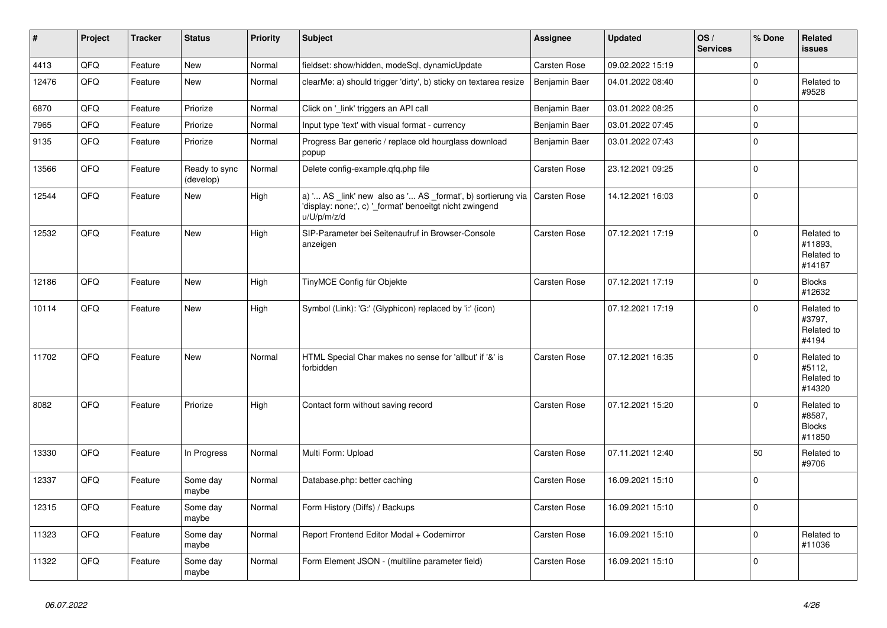| $\vert$ # | Project | <b>Tracker</b> | <b>Status</b>              | <b>Priority</b> | <b>Subject</b>                                                                                                                        | Assignee      | <b>Updated</b>   | OS/<br><b>Services</b> | % Done       | Related<br>issues                               |
|-----------|---------|----------------|----------------------------|-----------------|---------------------------------------------------------------------------------------------------------------------------------------|---------------|------------------|------------------------|--------------|-------------------------------------------------|
| 4413      | QFQ     | Feature        | <b>New</b>                 | Normal          | fieldset: show/hidden, modeSql, dynamicUpdate                                                                                         | Carsten Rose  | 09.02.2022 15:19 |                        | $\Omega$     |                                                 |
| 12476     | QFQ     | Feature        | <b>New</b>                 | Normal          | clearMe: a) should trigger 'dirty', b) sticky on textarea resize                                                                      | Benjamin Baer | 04.01.2022 08:40 |                        | $\mathbf{0}$ | Related to<br>#9528                             |
| 6870      | QFQ     | Feature        | Priorize                   | Normal          | Click on '_link' triggers an API call                                                                                                 | Benjamin Baer | 03.01.2022 08:25 |                        | $\mathbf{0}$ |                                                 |
| 7965      | QFQ     | Feature        | Priorize                   | Normal          | Input type 'text' with visual format - currency                                                                                       | Benjamin Baer | 03.01.2022 07:45 |                        | $\mathbf{0}$ |                                                 |
| 9135      | QFQ     | Feature        | Priorize                   | Normal          | Progress Bar generic / replace old hourglass download<br>popup                                                                        | Benjamin Baer | 03.01.2022 07:43 |                        | $\mathbf 0$  |                                                 |
| 13566     | QFQ     | Feature        | Ready to sync<br>(develop) | Normal          | Delete config-example.qfq.php file                                                                                                    | Carsten Rose  | 23.12.2021 09:25 |                        | $\mathbf{0}$ |                                                 |
| 12544     | QFQ     | Feature        | New                        | High            | a) ' AS _link' new also as ' AS _format', b) sortierung via<br>'display: none;', c) ' format' benoeitgt nicht zwingend<br>u/U/p/m/z/d | Carsten Rose  | 14.12.2021 16:03 |                        | $\mathbf{0}$ |                                                 |
| 12532     | QFQ     | Feature        | New                        | High            | SIP-Parameter bei Seitenaufruf in Browser-Console<br>anzeigen                                                                         | Carsten Rose  | 07.12.2021 17:19 |                        | $\mathbf{0}$ | Related to<br>#11893.<br>Related to<br>#14187   |
| 12186     | QFQ     | Feature        | <b>New</b>                 | High            | TinyMCE Config für Objekte                                                                                                            | Carsten Rose  | 07.12.2021 17:19 |                        | $\Omega$     | <b>Blocks</b><br>#12632                         |
| 10114     | QFQ     | Feature        | <b>New</b>                 | High            | Symbol (Link): 'G:' (Glyphicon) replaced by 'i:' (icon)                                                                               |               | 07.12.2021 17:19 |                        | $\Omega$     | Related to<br>#3797,<br>Related to<br>#4194     |
| 11702     | QFQ     | Feature        | <b>New</b>                 | Normal          | HTML Special Char makes no sense for 'allbut' if '&' is<br>forbidden                                                                  | Carsten Rose  | 07.12.2021 16:35 |                        | $\mathbf{0}$ | Related to<br>#5112,<br>Related to<br>#14320    |
| 8082      | QFQ     | Feature        | Priorize                   | High            | Contact form without saving record                                                                                                    | Carsten Rose  | 07.12.2021 15:20 |                        | $\Omega$     | Related to<br>#8587,<br><b>Blocks</b><br>#11850 |
| 13330     | QFQ     | Feature        | In Progress                | Normal          | Multi Form: Upload                                                                                                                    | Carsten Rose  | 07.11.2021 12:40 |                        | 50           | Related to<br>#9706                             |
| 12337     | QFQ     | Feature        | Some day<br>maybe          | Normal          | Database.php: better caching                                                                                                          | Carsten Rose  | 16.09.2021 15:10 |                        | $\mathbf{0}$ |                                                 |
| 12315     | QFQ     | Feature        | Some day<br>maybe          | Normal          | Form History (Diffs) / Backups                                                                                                        | Carsten Rose  | 16.09.2021 15:10 |                        | $\Omega$     |                                                 |
| 11323     | QFQ     | Feature        | Some day<br>maybe          | Normal          | Report Frontend Editor Modal + Codemirror                                                                                             | Carsten Rose  | 16.09.2021 15:10 |                        | $\mathbf{0}$ | Related to<br>#11036                            |
| 11322     | QFQ     | Feature        | Some day<br>maybe          | Normal          | Form Element JSON - (multiline parameter field)                                                                                       | Carsten Rose  | 16.09.2021 15:10 |                        | $\mathbf 0$  |                                                 |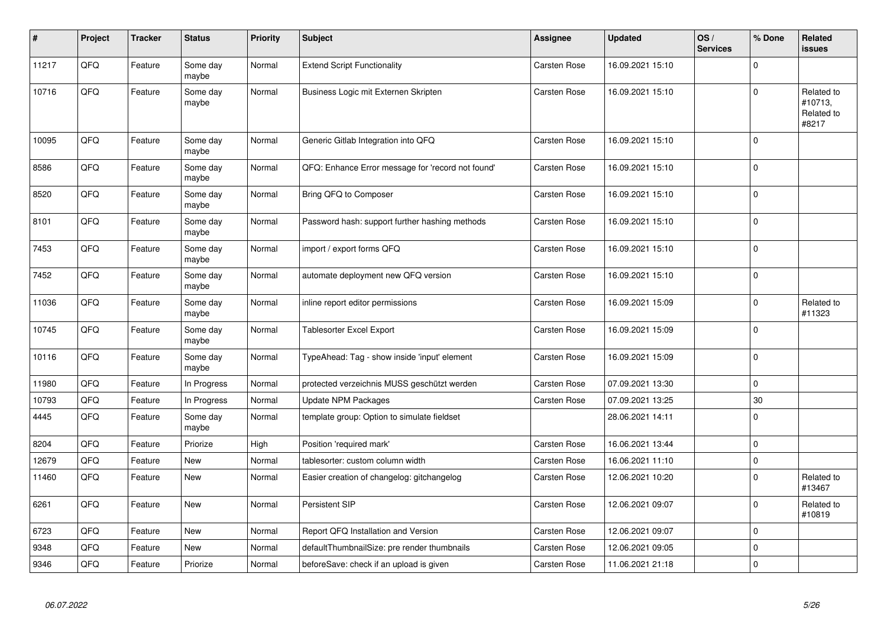| $\sharp$ | Project | <b>Tracker</b> | <b>Status</b>     | <b>Priority</b> | <b>Subject</b>                                    | Assignee     | <b>Updated</b>   | OS/<br><b>Services</b> | % Done      | Related<br><b>issues</b>                     |
|----------|---------|----------------|-------------------|-----------------|---------------------------------------------------|--------------|------------------|------------------------|-------------|----------------------------------------------|
| 11217    | QFQ     | Feature        | Some day<br>maybe | Normal          | <b>Extend Script Functionality</b>                | Carsten Rose | 16.09.2021 15:10 |                        | $\Omega$    |                                              |
| 10716    | QFQ     | Feature        | Some day<br>maybe | Normal          | Business Logic mit Externen Skripten              | Carsten Rose | 16.09.2021 15:10 |                        | $\Omega$    | Related to<br>#10713,<br>Related to<br>#8217 |
| 10095    | QFQ     | Feature        | Some day<br>maybe | Normal          | Generic Gitlab Integration into QFQ               | Carsten Rose | 16.09.2021 15:10 |                        | $\mathbf 0$ |                                              |
| 8586     | QFQ     | Feature        | Some day<br>maybe | Normal          | QFQ: Enhance Error message for 'record not found' | Carsten Rose | 16.09.2021 15:10 |                        | $\mathbf 0$ |                                              |
| 8520     | QFQ     | Feature        | Some day<br>maybe | Normal          | Bring QFQ to Composer                             | Carsten Rose | 16.09.2021 15:10 |                        | $\mathbf 0$ |                                              |
| 8101     | QFQ     | Feature        | Some day<br>maybe | Normal          | Password hash: support further hashing methods    | Carsten Rose | 16.09.2021 15:10 |                        | $\pmb{0}$   |                                              |
| 7453     | QFQ     | Feature        | Some day<br>maybe | Normal          | import / export forms QFQ                         | Carsten Rose | 16.09.2021 15:10 |                        | $\Omega$    |                                              |
| 7452     | QFQ     | Feature        | Some day<br>maybe | Normal          | automate deployment new QFQ version               | Carsten Rose | 16.09.2021 15:10 |                        | $\mathbf 0$ |                                              |
| 11036    | QFQ     | Feature        | Some day<br>maybe | Normal          | inline report editor permissions                  | Carsten Rose | 16.09.2021 15:09 |                        | $\mathbf 0$ | Related to<br>#11323                         |
| 10745    | QFQ     | Feature        | Some day<br>maybe | Normal          | <b>Tablesorter Excel Export</b>                   | Carsten Rose | 16.09.2021 15:09 |                        | $\mathbf 0$ |                                              |
| 10116    | QFQ     | Feature        | Some day<br>maybe | Normal          | TypeAhead: Tag - show inside 'input' element      | Carsten Rose | 16.09.2021 15:09 |                        | $\mathbf 0$ |                                              |
| 11980    | QFQ     | Feature        | In Progress       | Normal          | protected verzeichnis MUSS geschützt werden       | Carsten Rose | 07.09.2021 13:30 |                        | $\mathbf 0$ |                                              |
| 10793    | QFQ     | Feature        | In Progress       | Normal          | <b>Update NPM Packages</b>                        | Carsten Rose | 07.09.2021 13:25 |                        | 30          |                                              |
| 4445     | QFQ     | Feature        | Some day<br>maybe | Normal          | template group: Option to simulate fieldset       |              | 28.06.2021 14:11 |                        | $\mathbf 0$ |                                              |
| 8204     | QFQ     | Feature        | Priorize          | High            | Position 'required mark'                          | Carsten Rose | 16.06.2021 13:44 |                        | $\mathbf 0$ |                                              |
| 12679    | QFQ     | Feature        | New               | Normal          | tablesorter: custom column width                  | Carsten Rose | 16.06.2021 11:10 |                        | $\mathbf 0$ |                                              |
| 11460    | QFQ     | Feature        | <b>New</b>        | Normal          | Easier creation of changelog: gitchangelog        | Carsten Rose | 12.06.2021 10:20 |                        | $\mathbf 0$ | Related to<br>#13467                         |
| 6261     | QFQ     | Feature        | <b>New</b>        | Normal          | Persistent SIP                                    | Carsten Rose | 12.06.2021 09:07 |                        | $\pmb{0}$   | Related to<br>#10819                         |
| 6723     | QFQ     | Feature        | New               | Normal          | Report QFQ Installation and Version               | Carsten Rose | 12.06.2021 09:07 |                        | $\mathbf 0$ |                                              |
| 9348     | QFQ     | Feature        | <b>New</b>        | Normal          | defaultThumbnailSize: pre render thumbnails       | Carsten Rose | 12.06.2021 09:05 |                        | $\mathbf 0$ |                                              |
| 9346     | QFQ     | Feature        | Priorize          | Normal          | beforeSave: check if an upload is given           | Carsten Rose | 11.06.2021 21:18 |                        | $\pmb{0}$   |                                              |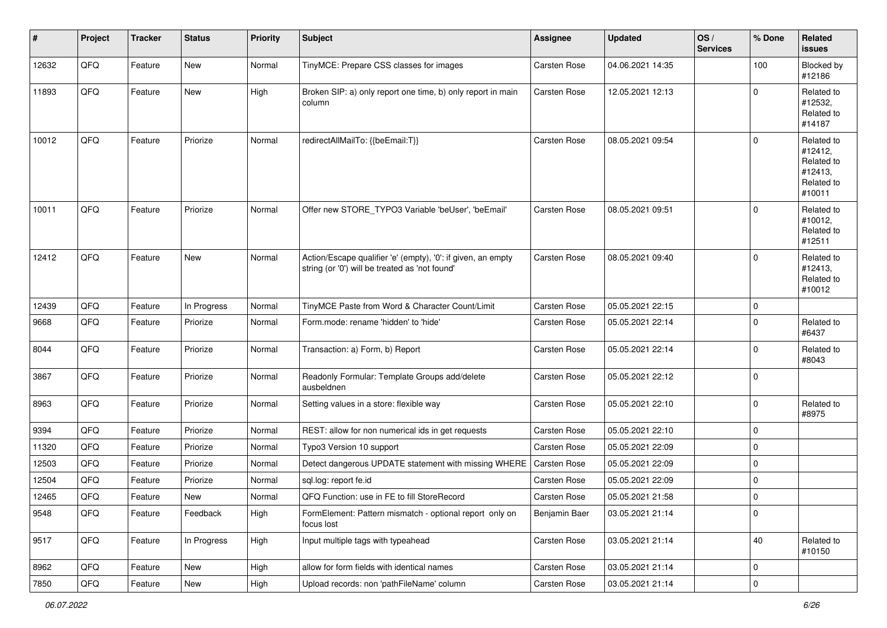| #     | Project | <b>Tracker</b> | <b>Status</b> | <b>Priority</b> | <b>Subject</b>                                                                                                 | Assignee            | <b>Updated</b>   | OS/<br><b>Services</b> | % Done      | Related<br><b>issues</b>                                               |
|-------|---------|----------------|---------------|-----------------|----------------------------------------------------------------------------------------------------------------|---------------------|------------------|------------------------|-------------|------------------------------------------------------------------------|
| 12632 | QFQ     | Feature        | New           | Normal          | TinyMCE: Prepare CSS classes for images                                                                        | Carsten Rose        | 04.06.2021 14:35 |                        | 100         | Blocked by<br>#12186                                                   |
| 11893 | QFQ     | Feature        | New           | High            | Broken SIP: a) only report one time, b) only report in main<br>column                                          | Carsten Rose        | 12.05.2021 12:13 |                        | $\mathbf 0$ | Related to<br>#12532.<br>Related to<br>#14187                          |
| 10012 | QFQ     | Feature        | Priorize      | Normal          | redirectAllMailTo: {{beEmail:T}}                                                                               | Carsten Rose        | 08.05.2021 09:54 |                        | $\mathbf 0$ | Related to<br>#12412,<br>Related to<br>#12413.<br>Related to<br>#10011 |
| 10011 | QFQ     | Feature        | Priorize      | Normal          | Offer new STORE TYPO3 Variable 'beUser', 'beEmail'                                                             | Carsten Rose        | 08.05.2021 09:51 |                        | $\mathbf 0$ | Related to<br>#10012,<br>Related to<br>#12511                          |
| 12412 | QFQ     | Feature        | New           | Normal          | Action/Escape qualifier 'e' (empty), '0': if given, an empty<br>string (or '0') will be treated as 'not found' | Carsten Rose        | 08.05.2021 09:40 |                        | $\mathbf 0$ | Related to<br>#12413,<br>Related to<br>#10012                          |
| 12439 | QFQ     | Feature        | In Progress   | Normal          | TinyMCE Paste from Word & Character Count/Limit                                                                | Carsten Rose        | 05.05.2021 22:15 |                        | 0           |                                                                        |
| 9668  | QFQ     | Feature        | Priorize      | Normal          | Form.mode: rename 'hidden' to 'hide'                                                                           | Carsten Rose        | 05.05.2021 22:14 |                        | $\mathbf 0$ | Related to<br>#6437                                                    |
| 8044  | QFQ     | Feature        | Priorize      | Normal          | Transaction: a) Form, b) Report                                                                                | Carsten Rose        | 05.05.2021 22:14 |                        | $\mathbf 0$ | Related to<br>#8043                                                    |
| 3867  | QFQ     | Feature        | Priorize      | Normal          | Readonly Formular: Template Groups add/delete<br>ausbeldnen                                                    | Carsten Rose        | 05.05.2021 22:12 |                        | $\mathbf 0$ |                                                                        |
| 8963  | QFQ     | Feature        | Priorize      | Normal          | Setting values in a store: flexible way                                                                        | Carsten Rose        | 05.05.2021 22:10 |                        | $\mathbf 0$ | Related to<br>#8975                                                    |
| 9394  | QFQ     | Feature        | Priorize      | Normal          | REST: allow for non numerical ids in get requests                                                              | <b>Carsten Rose</b> | 05.05.2021 22:10 |                        | 0           |                                                                        |
| 11320 | QFQ     | Feature        | Priorize      | Normal          | Typo3 Version 10 support                                                                                       | Carsten Rose        | 05.05.2021 22:09 |                        | 0           |                                                                        |
| 12503 | QFQ     | Feature        | Priorize      | Normal          | Detect dangerous UPDATE statement with missing WHERE                                                           | Carsten Rose        | 05.05.2021 22:09 |                        | 0           |                                                                        |
| 12504 | QFQ     | Feature        | Priorize      | Normal          | sql.log: report fe.id                                                                                          | Carsten Rose        | 05.05.2021 22:09 |                        | 0           |                                                                        |
| 12465 | QFQ     | Feature        | <b>New</b>    | Normal          | QFQ Function: use in FE to fill StoreRecord                                                                    | <b>Carsten Rose</b> | 05.05.2021 21:58 |                        | $\mathbf 0$ |                                                                        |
| 9548  | QFQ     | Feature        | Feedback      | High            | FormElement: Pattern mismatch - optional report only on<br>focus lost                                          | Benjamin Baer       | 03.05.2021 21:14 |                        | $\mathbf 0$ |                                                                        |
| 9517  | QFQ     | Feature        | In Progress   | High            | Input multiple tags with typeahead                                                                             | Carsten Rose        | 03.05.2021 21:14 |                        | 40          | Related to<br>#10150                                                   |
| 8962  | QFQ     | Feature        | New           | High            | allow for form fields with identical names                                                                     | Carsten Rose        | 03.05.2021 21:14 |                        | 0           |                                                                        |
| 7850  | QFQ     | Feature        | New           | High            | Upload records: non 'pathFileName' column                                                                      | Carsten Rose        | 03.05.2021 21:14 |                        | $\pmb{0}$   |                                                                        |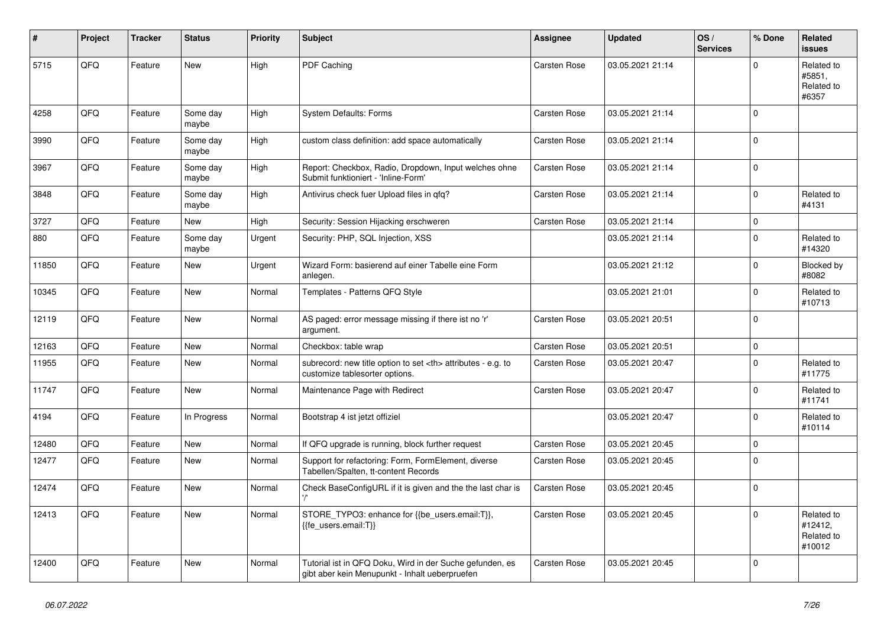| #     | Project | <b>Tracker</b> | <b>Status</b>     | <b>Priority</b> | <b>Subject</b>                                                                                             | Assignee                                               | <b>Updated</b>   | OS/<br><b>Services</b> | % Done       | <b>Related</b><br><b>issues</b>               |                      |
|-------|---------|----------------|-------------------|-----------------|------------------------------------------------------------------------------------------------------------|--------------------------------------------------------|------------------|------------------------|--------------|-----------------------------------------------|----------------------|
| 5715  | QFQ     | Feature        | New               | High            | PDF Caching                                                                                                | Carsten Rose                                           | 03.05.2021 21:14 |                        | $\Omega$     | Related to<br>#5851,<br>Related to<br>#6357   |                      |
| 4258  | QFQ     | Feature        | Some day<br>maybe | High            | System Defaults: Forms                                                                                     | Carsten Rose                                           | 03.05.2021 21:14 |                        | $\mathbf{0}$ |                                               |                      |
| 3990  | QFQ     | Feature        | Some day<br>maybe | High            | custom class definition: add space automatically                                                           | Carsten Rose                                           | 03.05.2021 21:14 |                        | $\mathbf{0}$ |                                               |                      |
| 3967  | QFQ     | Feature        | Some day<br>maybe | High            | Report: Checkbox, Radio, Dropdown, Input welches ohne<br>Submit funktioniert - 'Inline-Form'               | Carsten Rose                                           | 03.05.2021 21:14 |                        | $\Omega$     |                                               |                      |
| 3848  | QFQ     | Feature        | Some day<br>maybe | High            | Antivirus check fuer Upload files in qfq?                                                                  | Carsten Rose                                           | 03.05.2021 21:14 |                        | $\mathbf{0}$ | Related to<br>#4131                           |                      |
| 3727  | QFQ     | Feature        | New               | High            | Security: Session Hijacking erschweren                                                                     | Carsten Rose                                           | 03.05.2021 21:14 |                        | 0            |                                               |                      |
| 880   | QFQ     | Feature        | Some day<br>maybe | Urgent          | Security: PHP, SQL Injection, XSS                                                                          |                                                        | 03.05.2021 21:14 |                        | $\mathbf 0$  | Related to<br>#14320                          |                      |
| 11850 | QFQ     | Feature        | New               | Urgent          | Wizard Form: basierend auf einer Tabelle eine Form<br>anlegen.                                             |                                                        | 03.05.2021 21:12 |                        | $\Omega$     | Blocked by<br>#8082                           |                      |
| 10345 | QFQ     | Feature        | <b>New</b>        | Normal          | Templates - Patterns QFQ Style                                                                             |                                                        | 03.05.2021 21:01 |                        | $\Omega$     | Related to<br>#10713                          |                      |
| 12119 | QFQ     | Feature        | New               | Normal          | AS paged: error message missing if there ist no 'r'<br>argument.                                           | Carsten Rose                                           | 03.05.2021 20:51 |                        | $\mathbf 0$  |                                               |                      |
| 12163 | QFQ     | Feature        | New               | Normal          | Checkbox: table wrap                                                                                       | Carsten Rose                                           | 03.05.2021 20:51 |                        | 0            |                                               |                      |
| 11955 | QFQ     | Feature        | New               | Normal          | subrecord: new title option to set <th> attributes - e.g. to<br/>customize tablesorter options.</th>       | attributes - e.g. to<br>customize tablesorter options. | Carsten Rose     | 03.05.2021 20:47       |              | $\mathbf 0$                                   | Related to<br>#11775 |
| 11747 | QFQ     | Feature        | <b>New</b>        | Normal          | Maintenance Page with Redirect                                                                             | Carsten Rose                                           | 03.05.2021 20:47 |                        | $\Omega$     | Related to<br>#11741                          |                      |
| 4194  | QFQ     | Feature        | In Progress       | Normal          | Bootstrap 4 ist jetzt offiziel                                                                             |                                                        | 03.05.2021 20:47 |                        | $\mathbf 0$  | Related to<br>#10114                          |                      |
| 12480 | QFQ     | Feature        | <b>New</b>        | Normal          | If QFQ upgrade is running, block further request                                                           | Carsten Rose                                           | 03.05.2021 20:45 |                        | $\mathbf 0$  |                                               |                      |
| 12477 | QFQ     | Feature        | New               | Normal          | Support for refactoring: Form, FormElement, diverse<br>Tabellen/Spalten, tt-content Records                | Carsten Rose                                           | 03.05.2021 20:45 |                        | 0            |                                               |                      |
| 12474 | QFQ     | Feature        | <b>New</b>        | Normal          | Check BaseConfigURL if it is given and the the last char is                                                | Carsten Rose                                           | 03.05.2021 20:45 |                        | $\Omega$     |                                               |                      |
| 12413 | QFQ     | Feature        | <b>New</b>        | Normal          | STORE_TYPO3: enhance for {{be_users.email:T}},<br>{{fe users.email:T}}                                     | Carsten Rose                                           | 03.05.2021 20:45 |                        | $\mathbf 0$  | Related to<br>#12412,<br>Related to<br>#10012 |                      |
| 12400 | QFQ     | Feature        | <b>New</b>        | Normal          | Tutorial ist in QFQ Doku, Wird in der Suche gefunden, es<br>gibt aber kein Menupunkt - Inhalt ueberpruefen | <b>Carsten Rose</b>                                    | 03.05.2021 20:45 |                        | $\Omega$     |                                               |                      |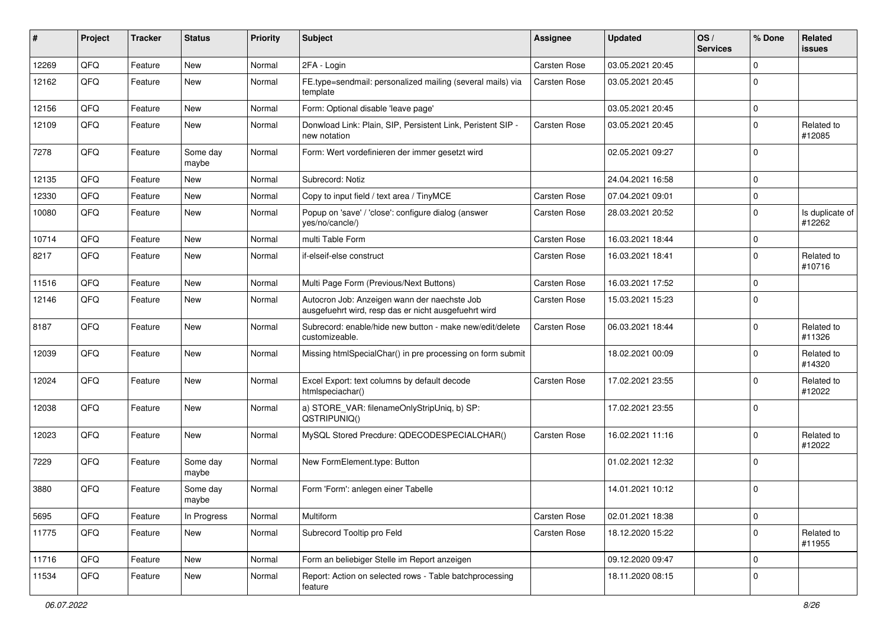| ∦     | Project | <b>Tracker</b> | <b>Status</b>     | <b>Priority</b> | Subject                                                                                              | <b>Assignee</b> | <b>Updated</b>   | OS/<br><b>Services</b> | % Done      | Related<br><b>issues</b>  |
|-------|---------|----------------|-------------------|-----------------|------------------------------------------------------------------------------------------------------|-----------------|------------------|------------------------|-------------|---------------------------|
| 12269 | QFQ     | Feature        | <b>New</b>        | Normal          | 2FA - Login                                                                                          | Carsten Rose    | 03.05.2021 20:45 |                        | $\Omega$    |                           |
| 12162 | QFQ     | Feature        | New               | Normal          | FE.type=sendmail: personalized mailing (several mails) via<br>template                               | Carsten Rose    | 03.05.2021 20:45 |                        | $\mathbf 0$ |                           |
| 12156 | QFQ     | Feature        | <b>New</b>        | Normal          | Form: Optional disable 'leave page'                                                                  |                 | 03.05.2021 20:45 |                        | $\mathbf 0$ |                           |
| 12109 | QFQ     | Feature        | New               | Normal          | Donwload Link: Plain, SIP, Persistent Link, Peristent SIP -<br>new notation                          | Carsten Rose    | 03.05.2021 20:45 |                        | $\mathbf 0$ | Related to<br>#12085      |
| 7278  | QFQ     | Feature        | Some day<br>maybe | Normal          | Form: Wert vordefinieren der immer gesetzt wird                                                      |                 | 02.05.2021 09:27 |                        | $\mathbf 0$ |                           |
| 12135 | QFQ     | Feature        | <b>New</b>        | Normal          | Subrecord: Notiz                                                                                     |                 | 24.04.2021 16:58 |                        | $\mathbf 0$ |                           |
| 12330 | QFQ     | Feature        | <b>New</b>        | Normal          | Copy to input field / text area / TinyMCE                                                            | Carsten Rose    | 07.04.2021 09:01 |                        | $\mathbf 0$ |                           |
| 10080 | QFQ     | Feature        | New               | Normal          | Popup on 'save' / 'close': configure dialog (answer<br>yes/no/cancle/)                               | Carsten Rose    | 28.03.2021 20:52 |                        | $\mathbf 0$ | Is duplicate of<br>#12262 |
| 10714 | QFQ     | Feature        | <b>New</b>        | Normal          | multi Table Form                                                                                     | Carsten Rose    | 16.03.2021 18:44 |                        | $\mathbf 0$ |                           |
| 8217  | QFQ     | Feature        | New               | Normal          | if-elseif-else construct                                                                             | Carsten Rose    | 16.03.2021 18:41 |                        | $\mathbf 0$ | Related to<br>#10716      |
| 11516 | QFQ     | Feature        | <b>New</b>        | Normal          | Multi Page Form (Previous/Next Buttons)                                                              | Carsten Rose    | 16.03.2021 17:52 |                        | $\mathbf 0$ |                           |
| 12146 | QFQ     | Feature        | New               | Normal          | Autocron Job: Anzeigen wann der naechste Job<br>ausgefuehrt wird, resp das er nicht ausgefuehrt wird | Carsten Rose    | 15.03.2021 15:23 |                        | $\mathbf 0$ |                           |
| 8187  | QFQ     | Feature        | <b>New</b>        | Normal          | Subrecord: enable/hide new button - make new/edit/delete<br>customizeable.                           | Carsten Rose    | 06.03.2021 18:44 |                        | $\mathbf 0$ | Related to<br>#11326      |
| 12039 | QFQ     | Feature        | <b>New</b>        | Normal          | Missing htmlSpecialChar() in pre processing on form submit                                           |                 | 18.02.2021 00:09 |                        | $\mathbf 0$ | Related to<br>#14320      |
| 12024 | QFQ     | Feature        | <b>New</b>        | Normal          | Excel Export: text columns by default decode<br>htmlspeciachar()                                     | Carsten Rose    | 17.02.2021 23:55 |                        | $\mathbf 0$ | Related to<br>#12022      |
| 12038 | QFQ     | Feature        | New               | Normal          | a) STORE_VAR: filenameOnlyStripUniq, b) SP:<br>QSTRIPUNIQ()                                          |                 | 17.02.2021 23:55 |                        | $\mathbf 0$ |                           |
| 12023 | QFQ     | Feature        | <b>New</b>        | Normal          | MySQL Stored Precdure: QDECODESPECIALCHAR()                                                          | Carsten Rose    | 16.02.2021 11:16 |                        | $\mathbf 0$ | Related to<br>#12022      |
| 7229  | QFQ     | Feature        | Some day<br>maybe | Normal          | New FormElement.type: Button                                                                         |                 | 01.02.2021 12:32 |                        | $\mathbf 0$ |                           |
| 3880  | QFQ     | Feature        | Some day<br>maybe | Normal          | Form 'Form': anlegen einer Tabelle                                                                   |                 | 14.01.2021 10:12 |                        | $\mathbf 0$ |                           |
| 5695  | QFQ     | Feature        | In Progress       | Normal          | Multiform                                                                                            | Carsten Rose    | 02.01.2021 18:38 |                        | $\mathbf 0$ |                           |
| 11775 | QFQ     | Feature        | New               | Normal          | Subrecord Tooltip pro Feld                                                                           | Carsten Rose    | 18.12.2020 15:22 |                        | $\mathbf 0$ | Related to<br>#11955      |
| 11716 | QFQ     | Feature        | New               | Normal          | Form an beliebiger Stelle im Report anzeigen                                                         |                 | 09.12.2020 09:47 |                        | $\mathbf 0$ |                           |
| 11534 | QFG     | Feature        | New               | Normal          | Report: Action on selected rows - Table batchprocessing<br>feature                                   |                 | 18.11.2020 08:15 |                        | $\mathbf 0$ |                           |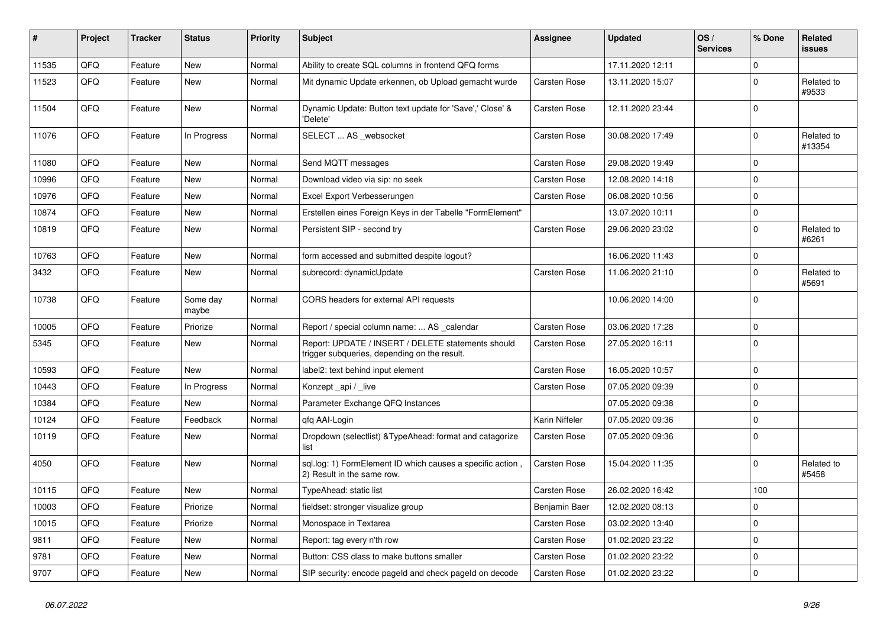| #     | Project | <b>Tracker</b> | <b>Status</b>     | <b>Priority</b> | <b>Subject</b>                                                                                     | <b>Assignee</b> | <b>Updated</b>   | OS/<br><b>Services</b> | % Done      | Related<br>issues    |
|-------|---------|----------------|-------------------|-----------------|----------------------------------------------------------------------------------------------------|-----------------|------------------|------------------------|-------------|----------------------|
| 11535 | QFQ     | Feature        | <b>New</b>        | Normal          | Ability to create SQL columns in frontend QFQ forms                                                |                 | 17.11.2020 12:11 |                        | $\Omega$    |                      |
| 11523 | QFQ     | Feature        | New               | Normal          | Mit dynamic Update erkennen, ob Upload gemacht wurde                                               | Carsten Rose    | 13.11.2020 15:07 |                        | $\Omega$    | Related to<br>#9533  |
| 11504 | QFQ     | Feature        | New               | Normal          | Dynamic Update: Button text update for 'Save',' Close' &<br>'Delete'                               | Carsten Rose    | 12.11.2020 23:44 |                        | $\mathbf 0$ |                      |
| 11076 | QFQ     | Feature        | In Progress       | Normal          | SELECT  AS _websocket                                                                              | Carsten Rose    | 30.08.2020 17:49 |                        | $\mathbf 0$ | Related to<br>#13354 |
| 11080 | QFQ     | Feature        | New               | Normal          | Send MQTT messages                                                                                 | Carsten Rose    | 29.08.2020 19:49 |                        | $\Omega$    |                      |
| 10996 | QFQ     | Feature        | <b>New</b>        | Normal          | Download video via sip: no seek                                                                    | Carsten Rose    | 12.08.2020 14:18 |                        | $\mathbf 0$ |                      |
| 10976 | QFQ     | Feature        | <b>New</b>        | Normal          | Excel Export Verbesserungen                                                                        | Carsten Rose    | 06.08.2020 10:56 |                        | $\Omega$    |                      |
| 10874 | QFQ     | Feature        | <b>New</b>        | Normal          | Erstellen eines Foreign Keys in der Tabelle "FormElement"                                          |                 | 13.07.2020 10:11 |                        | $\mathbf 0$ |                      |
| 10819 | QFQ     | Feature        | New               | Normal          | Persistent SIP - second try                                                                        | Carsten Rose    | 29.06.2020 23:02 |                        | $\mathbf 0$ | Related to<br>#6261  |
| 10763 | QFQ     | Feature        | New               | Normal          | form accessed and submitted despite logout?                                                        |                 | 16.06.2020 11:43 |                        | $\mathbf 0$ |                      |
| 3432  | QFQ     | Feature        | New               | Normal          | subrecord: dynamicUpdate                                                                           | Carsten Rose    | 11.06.2020 21:10 |                        | $\pmb{0}$   | Related to<br>#5691  |
| 10738 | QFQ     | Feature        | Some day<br>maybe | Normal          | CORS headers for external API requests                                                             |                 | 10.06.2020 14:00 |                        | $\Omega$    |                      |
| 10005 | QFQ     | Feature        | Priorize          | Normal          | Report / special column name:  AS _calendar                                                        | Carsten Rose    | 03.06.2020 17:28 |                        | $\mathbf 0$ |                      |
| 5345  | QFQ     | Feature        | <b>New</b>        | Normal          | Report: UPDATE / INSERT / DELETE statements should<br>trigger subqueries, depending on the result. | Carsten Rose    | 27.05.2020 16:11 |                        | $\mathbf 0$ |                      |
| 10593 | QFQ     | Feature        | New               | Normal          | label2: text behind input element                                                                  | Carsten Rose    | 16.05.2020 10:57 |                        | $\Omega$    |                      |
| 10443 | QFQ     | Feature        | In Progress       | Normal          | Konzept_api / _live                                                                                | Carsten Rose    | 07.05.2020 09:39 |                        | $\mathbf 0$ |                      |
| 10384 | QFQ     | Feature        | <b>New</b>        | Normal          | Parameter Exchange QFQ Instances                                                                   |                 | 07.05.2020 09:38 |                        | $\mathbf 0$ |                      |
| 10124 | QFQ     | Feature        | Feedback          | Normal          | gfg AAI-Login                                                                                      | Karin Niffeler  | 07.05.2020 09:36 |                        | $\mathbf 0$ |                      |
| 10119 | QFQ     | Feature        | New               | Normal          | Dropdown (selectlist) & Type Ahead: format and catagorize<br>list                                  | Carsten Rose    | 07.05.2020 09:36 |                        | $\mathbf 0$ |                      |
| 4050  | QFQ     | Feature        | <b>New</b>        | Normal          | sql.log: 1) FormElement ID which causes a specific action,<br>2) Result in the same row.           | Carsten Rose    | 15.04.2020 11:35 |                        | $\mathbf 0$ | Related to<br>#5458  |
| 10115 | QFQ     | Feature        | <b>New</b>        | Normal          | TypeAhead: static list                                                                             | Carsten Rose    | 26.02.2020 16:42 |                        | 100         |                      |
| 10003 | QFQ     | Feature        | Priorize          | Normal          | fieldset: stronger visualize group                                                                 | Benjamin Baer   | 12.02.2020 08:13 |                        | $\mathbf 0$ |                      |
| 10015 | QFQ     | Feature        | Priorize          | Normal          | Monospace in Textarea                                                                              | Carsten Rose    | 03.02.2020 13:40 |                        | $\mathbf 0$ |                      |
| 9811  | QFQ     | Feature        | New               | Normal          | Report: tag every n'th row                                                                         | Carsten Rose    | 01.02.2020 23:22 |                        | $\mathbf 0$ |                      |
| 9781  | QFQ     | Feature        | <b>New</b>        | Normal          | Button: CSS class to make buttons smaller                                                          | Carsten Rose    | 01.02.2020 23:22 |                        | $\mathbf 0$ |                      |
| 9707  | QFQ     | Feature        | New               | Normal          | SIP security: encode pageld and check pageld on decode                                             | Carsten Rose    | 01.02.2020 23:22 |                        | $\mathbf 0$ |                      |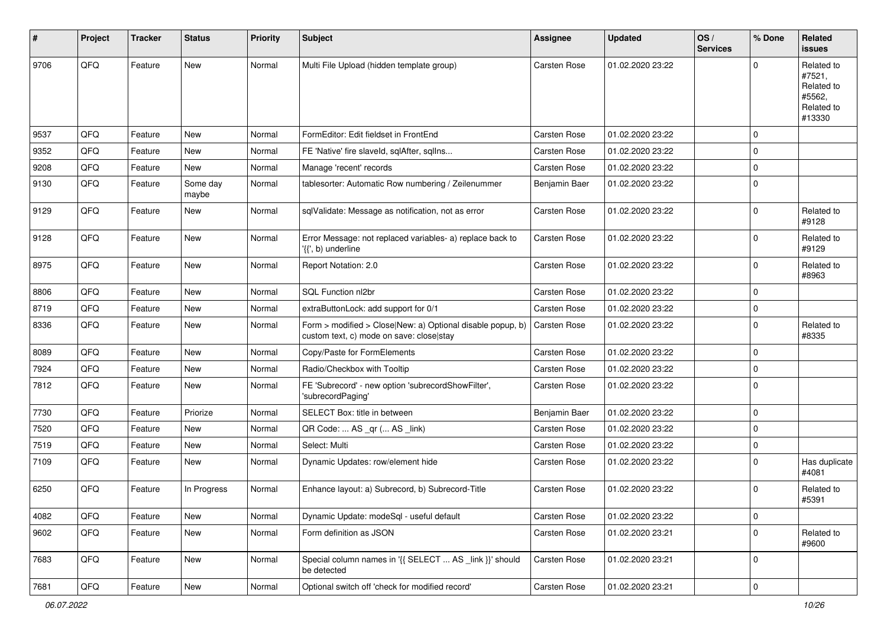| #    | Project | <b>Tracker</b> | <b>Status</b>     | <b>Priority</b> | Subject                                                                                                | <b>Assignee</b>     | <b>Updated</b>   | OS/<br><b>Services</b> | % Done       | Related<br><b>issues</b>                                             |
|------|---------|----------------|-------------------|-----------------|--------------------------------------------------------------------------------------------------------|---------------------|------------------|------------------------|--------------|----------------------------------------------------------------------|
| 9706 | QFQ     | Feature        | New               | Normal          | Multi File Upload (hidden template group)                                                              | Carsten Rose        | 01.02.2020 23:22 |                        | $\Omega$     | Related to<br>#7521,<br>Related to<br>#5562,<br>Related to<br>#13330 |
| 9537 | QFQ     | Feature        | New               | Normal          | FormEditor: Edit fieldset in FrontEnd                                                                  | <b>Carsten Rose</b> | 01.02.2020 23:22 |                        | $\mathbf 0$  |                                                                      |
| 9352 | QFQ     | Feature        | New               | Normal          | FE 'Native' fire slaveld, sqlAfter, sqlIns                                                             | <b>Carsten Rose</b> | 01.02.2020 23:22 |                        | $\mathbf 0$  |                                                                      |
| 9208 | QFQ     | Feature        | New               | Normal          | Manage 'recent' records                                                                                | <b>Carsten Rose</b> | 01.02.2020 23:22 |                        | $\mathbf 0$  |                                                                      |
| 9130 | QFQ     | Feature        | Some day<br>maybe | Normal          | tablesorter: Automatic Row numbering / Zeilenummer                                                     | Benjamin Baer       | 01.02.2020 23:22 |                        | 0            |                                                                      |
| 9129 | QFQ     | Feature        | New               | Normal          | sqlValidate: Message as notification, not as error                                                     | Carsten Rose        | 01.02.2020 23:22 |                        | 0            | Related to<br>#9128                                                  |
| 9128 | QFQ     | Feature        | New               | Normal          | Error Message: not replaced variables- a) replace back to<br>'{{', b) underline                        | Carsten Rose        | 01.02.2020 23:22 |                        | 0            | Related to<br>#9129                                                  |
| 8975 | QFQ     | Feature        | New               | Normal          | Report Notation: 2.0                                                                                   | Carsten Rose        | 01.02.2020 23:22 |                        | $\mathbf 0$  | Related to<br>#8963                                                  |
| 8806 | QFQ     | Feature        | <b>New</b>        | Normal          | SQL Function nl2br                                                                                     | <b>Carsten Rose</b> | 01.02.2020 23:22 |                        | $\mathbf 0$  |                                                                      |
| 8719 | QFQ     | Feature        | New               | Normal          | extraButtonLock: add support for 0/1                                                                   | Carsten Rose        | 01.02.2020 23:22 |                        | 0            |                                                                      |
| 8336 | QFQ     | Feature        | New               | Normal          | Form > modified > Close New: a) Optional disable popup, b)<br>custom text, c) mode on save: close stay | Carsten Rose        | 01.02.2020 23:22 |                        | $\Omega$     | Related to<br>#8335                                                  |
| 8089 | QFQ     | Feature        | New               | Normal          | Copy/Paste for FormElements                                                                            | <b>Carsten Rose</b> | 01.02.2020 23:22 |                        | $\Omega$     |                                                                      |
| 7924 | QFQ     | Feature        | New               | Normal          | Radio/Checkbox with Tooltip                                                                            | Carsten Rose        | 01.02.2020 23:22 |                        | $\mathbf 0$  |                                                                      |
| 7812 | QFQ     | Feature        | New               | Normal          | FE 'Subrecord' - new option 'subrecordShowFilter',<br>'subrecordPaging'                                | Carsten Rose        | 01.02.2020 23:22 |                        | $\mathbf 0$  |                                                                      |
| 7730 | QFQ     | Feature        | Priorize          | Normal          | SELECT Box: title in between                                                                           | Benjamin Baer       | 01.02.2020 23:22 |                        | $\mathbf 0$  |                                                                      |
| 7520 | QFQ     | Feature        | New               | Normal          | QR Code:  AS _qr ( AS _link)                                                                           | Carsten Rose        | 01.02.2020 23:22 |                        | 0            |                                                                      |
| 7519 | QFQ     | Feature        | New               | Normal          | Select: Multi                                                                                          | Carsten Rose        | 01.02.2020 23:22 |                        | $\mathbf 0$  |                                                                      |
| 7109 | QFQ     | Feature        | New               | Normal          | Dynamic Updates: row/element hide                                                                      | Carsten Rose        | 01.02.2020 23:22 |                        | 0            | Has duplicate<br>#4081                                               |
| 6250 | QFQ     | Feature        | In Progress       | Normal          | Enhance layout: a) Subrecord, b) Subrecord-Title                                                       | Carsten Rose        | 01.02.2020 23:22 |                        | $\mathbf 0$  | Related to<br>#5391                                                  |
| 4082 | QFQ     | Feature        | New               | Normal          | Dynamic Update: modeSql - useful default                                                               | Carsten Rose        | 01.02.2020 23:22 |                        | 0            |                                                                      |
| 9602 | QFQ     | Feature        | New               | Normal          | Form definition as JSON                                                                                | Carsten Rose        | 01.02.2020 23:21 |                        | $\mathbf{0}$ | Related to<br>#9600                                                  |
| 7683 | QFQ     | Feature        | New               | Normal          | Special column names in '{{ SELECT  AS _link }}' should<br>be detected                                 | Carsten Rose        | 01.02.2020 23:21 |                        | $\mathbf 0$  |                                                                      |
| 7681 | QFG     | Feature        | New               | Normal          | Optional switch off 'check for modified record'                                                        | Carsten Rose        | 01.02.2020 23:21 |                        | $\pmb{0}$    |                                                                      |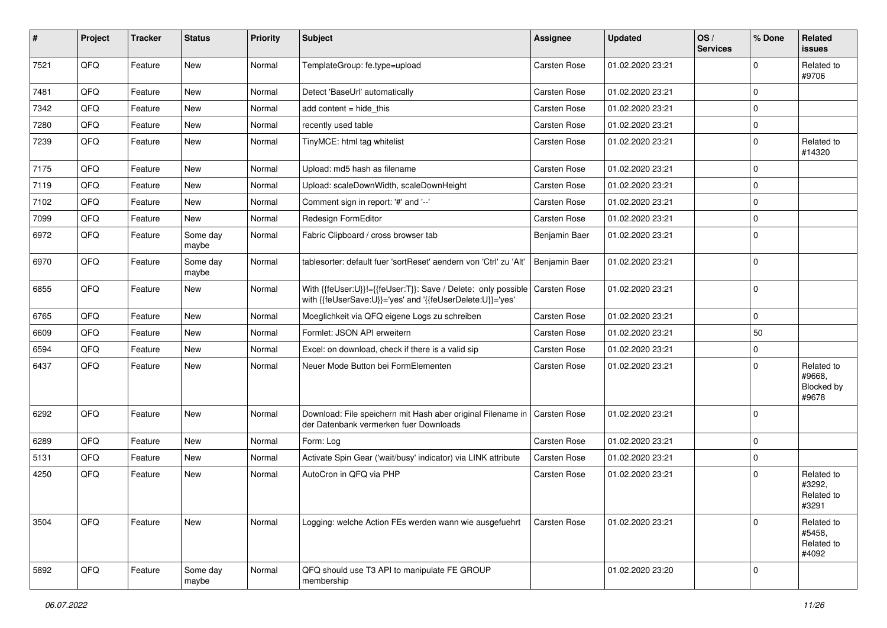| $\vert$ # | Project | <b>Tracker</b> | <b>Status</b>     | <b>Priority</b> | <b>Subject</b>                                                                                                             | <b>Assignee</b>     | <b>Updated</b>   | OS/<br><b>Services</b> | % Done       | Related<br><b>issues</b>                    |
|-----------|---------|----------------|-------------------|-----------------|----------------------------------------------------------------------------------------------------------------------------|---------------------|------------------|------------------------|--------------|---------------------------------------------|
| 7521      | QFQ     | Feature        | New               | Normal          | TemplateGroup: fe.type=upload                                                                                              | Carsten Rose        | 01.02.2020 23:21 |                        | $\Omega$     | Related to<br>#9706                         |
| 7481      | QFQ     | Feature        | New               | Normal          | Detect 'BaseUrl' automatically                                                                                             | Carsten Rose        | 01.02.2020 23:21 |                        | 0            |                                             |
| 7342      | QFQ     | Feature        | New               | Normal          | add content $=$ hide this                                                                                                  | Carsten Rose        | 01.02.2020 23:21 |                        | 0            |                                             |
| 7280      | QFQ     | Feature        | New               | Normal          | recently used table                                                                                                        | Carsten Rose        | 01.02.2020 23:21 |                        | $\mathbf 0$  |                                             |
| 7239      | QFQ     | Feature        | New               | Normal          | TinyMCE: html tag whitelist                                                                                                | Carsten Rose        | 01.02.2020 23:21 |                        | $\mathbf 0$  | Related to<br>#14320                        |
| 7175      | QFQ     | Feature        | New               | Normal          | Upload: md5 hash as filename                                                                                               | Carsten Rose        | 01.02.2020 23:21 |                        | 0            |                                             |
| 7119      | QFQ     | Feature        | New               | Normal          | Upload: scaleDownWidth, scaleDownHeight                                                                                    | <b>Carsten Rose</b> | 01.02.2020 23:21 |                        | $\mathbf 0$  |                                             |
| 7102      | QFQ     | Feature        | New               | Normal          | Comment sign in report: '#' and '--'                                                                                       | Carsten Rose        | 01.02.2020 23:21 |                        | $\mathbf 0$  |                                             |
| 7099      | QFQ     | Feature        | New               | Normal          | Redesign FormEditor                                                                                                        | <b>Carsten Rose</b> | 01.02.2020 23:21 |                        | $\mathbf 0$  |                                             |
| 6972      | QFQ     | Feature        | Some day<br>maybe | Normal          | Fabric Clipboard / cross browser tab                                                                                       | Benjamin Baer       | 01.02.2020 23:21 |                        | 0            |                                             |
| 6970      | QFQ     | Feature        | Some day<br>maybe | Normal          | tablesorter: default fuer 'sortReset' aendern von 'Ctrl' zu 'Alt'                                                          | Benjamin Baer       | 01.02.2020 23:21 |                        | $\mathbf 0$  |                                             |
| 6855      | QFQ     | Feature        | New               | Normal          | With {{feUser:U}}!={{feUser:T}}: Save / Delete: only possible<br>with {{feUserSave:U}}='yes' and '{{feUserDelete:U}}='yes' | Carsten Rose        | 01.02.2020 23:21 |                        | $\mathbf 0$  |                                             |
| 6765      | QFQ     | Feature        | New               | Normal          | Moeglichkeit via QFQ eigene Logs zu schreiben                                                                              | Carsten Rose        | 01.02.2020 23:21 |                        | $\mathbf 0$  |                                             |
| 6609      | QFQ     | Feature        | New               | Normal          | Formlet: JSON API erweitern                                                                                                | Carsten Rose        | 01.02.2020 23:21 |                        | 50           |                                             |
| 6594      | QFQ     | Feature        | New               | Normal          | Excel: on download, check if there is a valid sip                                                                          | <b>Carsten Rose</b> | 01.02.2020 23:21 |                        | 0            |                                             |
| 6437      | QFQ     | Feature        | New               | Normal          | Neuer Mode Button bei FormElementen                                                                                        | Carsten Rose        | 01.02.2020 23:21 |                        | 0            | Related to<br>#9668,<br>Blocked by<br>#9678 |
| 6292      | QFQ     | Feature        | New               | Normal          | Download: File speichern mit Hash aber original Filename in   Carsten Rose<br>der Datenbank vermerken fuer Downloads       |                     | 01.02.2020 23:21 |                        | $\mathbf 0$  |                                             |
| 6289      | QFQ     | Feature        | New               | Normal          | Form: Log                                                                                                                  | Carsten Rose        | 01.02.2020 23:21 |                        | 0            |                                             |
| 5131      | QFQ     | Feature        | New               | Normal          | Activate Spin Gear ('wait/busy' indicator) via LINK attribute                                                              | Carsten Rose        | 01.02.2020 23:21 |                        | $\mathbf{0}$ |                                             |
| 4250      | QFQ     | Feature        | New               | Normal          | AutoCron in QFQ via PHP                                                                                                    | <b>Carsten Rose</b> | 01.02.2020 23:21 |                        | $\Omega$     | Related to<br>#3292,<br>Related to<br>#3291 |
| 3504      | QFQ     | Feature        | New               | Normal          | Logging: welche Action FEs werden wann wie ausgefuehrt                                                                     | Carsten Rose        | 01.02.2020 23:21 |                        | $\mathbf 0$  | Related to<br>#5458,<br>Related to<br>#4092 |
| 5892      | QFQ     | Feature        | Some day<br>maybe | Normal          | QFQ should use T3 API to manipulate FE GROUP<br>membership                                                                 |                     | 01.02.2020 23:20 |                        | 0            |                                             |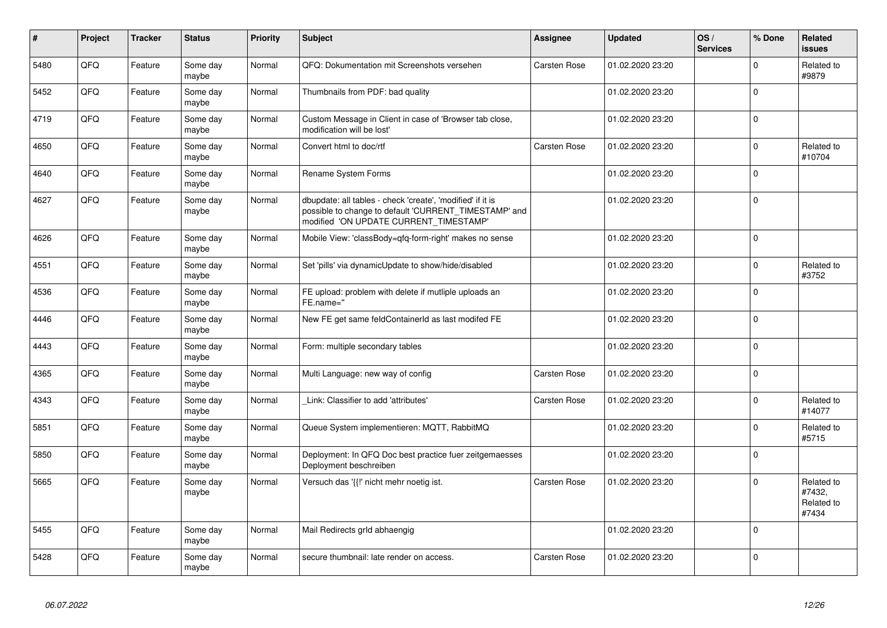| #    | Project | <b>Tracker</b> | <b>Status</b>     | <b>Priority</b> | <b>Subject</b>                                                                                                                                                | Assignee     | <b>Updated</b>   | OS/<br><b>Services</b> | % Done      | Related<br><b>issues</b>                    |
|------|---------|----------------|-------------------|-----------------|---------------------------------------------------------------------------------------------------------------------------------------------------------------|--------------|------------------|------------------------|-------------|---------------------------------------------|
| 5480 | QFQ     | Feature        | Some day<br>maybe | Normal          | QFQ: Dokumentation mit Screenshots versehen                                                                                                                   | Carsten Rose | 01.02.2020 23:20 |                        | $\mathbf 0$ | Related to<br>#9879                         |
| 5452 | QFQ     | Feature        | Some day<br>maybe | Normal          | Thumbnails from PDF: bad quality                                                                                                                              |              | 01.02.2020 23:20 |                        | $\mathbf 0$ |                                             |
| 4719 | QFQ     | Feature        | Some day<br>maybe | Normal          | Custom Message in Client in case of 'Browser tab close,<br>modification will be lost'                                                                         |              | 01.02.2020 23:20 |                        | $\mathbf 0$ |                                             |
| 4650 | QFQ     | Feature        | Some day<br>maybe | Normal          | Convert html to doc/rtf                                                                                                                                       | Carsten Rose | 01.02.2020 23:20 |                        | $\mathbf 0$ | Related to<br>#10704                        |
| 4640 | QFQ     | Feature        | Some day<br>maybe | Normal          | Rename System Forms                                                                                                                                           |              | 01.02.2020 23:20 |                        | $\mathbf 0$ |                                             |
| 4627 | QFQ     | Feature        | Some day<br>maybe | Normal          | dbupdate: all tables - check 'create', 'modified' if it is<br>possible to change to default 'CURRENT_TIMESTAMP' and<br>modified 'ON UPDATE CURRENT_TIMESTAMP' |              | 01.02.2020 23:20 |                        | $\Omega$    |                                             |
| 4626 | QFQ     | Feature        | Some day<br>maybe | Normal          | Mobile View: 'classBody=qfq-form-right' makes no sense                                                                                                        |              | 01.02.2020 23:20 |                        | $\mathbf 0$ |                                             |
| 4551 | QFQ     | Feature        | Some day<br>maybe | Normal          | Set 'pills' via dynamicUpdate to show/hide/disabled                                                                                                           |              | 01.02.2020 23:20 |                        | $\mathbf 0$ | Related to<br>#3752                         |
| 4536 | QFQ     | Feature        | Some day<br>maybe | Normal          | FE upload: problem with delete if mutliple uploads an<br>FE.name="                                                                                            |              | 01.02.2020 23:20 |                        | $\mathbf 0$ |                                             |
| 4446 | QFQ     | Feature        | Some day<br>maybe | Normal          | New FE get same feldContainerId as last modifed FE                                                                                                            |              | 01.02.2020 23:20 |                        | $\Omega$    |                                             |
| 4443 | QFQ     | Feature        | Some day<br>maybe | Normal          | Form: multiple secondary tables                                                                                                                               |              | 01.02.2020 23:20 |                        | $\Omega$    |                                             |
| 4365 | QFQ     | Feature        | Some day<br>maybe | Normal          | Multi Language: new way of config                                                                                                                             | Carsten Rose | 01.02.2020 23:20 |                        | $\Omega$    |                                             |
| 4343 | QFQ     | Feature        | Some day<br>maybe | Normal          | Link: Classifier to add 'attributes'                                                                                                                          | Carsten Rose | 01.02.2020 23:20 |                        | $\mathbf 0$ | Related to<br>#14077                        |
| 5851 | QFQ     | Feature        | Some day<br>maybe | Normal          | Queue System implementieren: MQTT, RabbitMQ                                                                                                                   |              | 01.02.2020 23:20 |                        | $\mathbf 0$ | Related to<br>#5715                         |
| 5850 | QFQ     | Feature        | Some day<br>maybe | Normal          | Deployment: In QFQ Doc best practice fuer zeitgemaesses<br>Deployment beschreiben                                                                             |              | 01.02.2020 23:20 |                        | $\mathbf 0$ |                                             |
| 5665 | QFQ     | Feature        | Some day<br>maybe | Normal          | Versuch das '{{!' nicht mehr noetig ist.                                                                                                                      | Carsten Rose | 01.02.2020 23:20 |                        | $\Omega$    | Related to<br>#7432,<br>Related to<br>#7434 |
| 5455 | QFQ     | Feature        | Some day<br>maybe | Normal          | Mail Redirects grld abhaengig                                                                                                                                 |              | 01.02.2020 23:20 |                        | $\mathbf 0$ |                                             |
| 5428 | QFQ     | Feature        | Some day<br>maybe | Normal          | secure thumbnail: late render on access.                                                                                                                      | Carsten Rose | 01.02.2020 23:20 |                        | $\mathbf 0$ |                                             |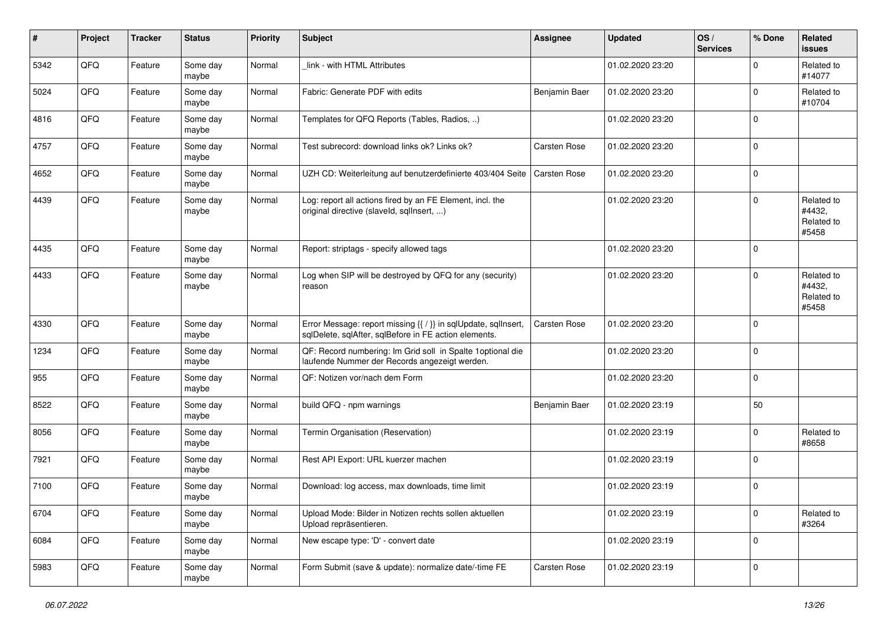| $\pmb{\#}$ | Project | <b>Tracker</b> | <b>Status</b>     | <b>Priority</b> | <b>Subject</b>                                                                                                          | <b>Assignee</b> | <b>Updated</b>   | OS/<br><b>Services</b> | % Done      | Related<br><b>issues</b>                    |
|------------|---------|----------------|-------------------|-----------------|-------------------------------------------------------------------------------------------------------------------------|-----------------|------------------|------------------------|-------------|---------------------------------------------|
| 5342       | QFQ     | Feature        | Some day<br>maybe | Normal          | link - with HTML Attributes                                                                                             |                 | 01.02.2020 23:20 |                        | $\mathbf 0$ | Related to<br>#14077                        |
| 5024       | QFQ     | Feature        | Some day<br>maybe | Normal          | Fabric: Generate PDF with edits                                                                                         | Benjamin Baer   | 01.02.2020 23:20 |                        | $\Omega$    | Related to<br>#10704                        |
| 4816       | QFQ     | Feature        | Some day<br>maybe | Normal          | Templates for QFQ Reports (Tables, Radios, )                                                                            |                 | 01.02.2020 23:20 |                        | $\Omega$    |                                             |
| 4757       | QFQ     | Feature        | Some day<br>maybe | Normal          | Test subrecord: download links ok? Links ok?                                                                            | Carsten Rose    | 01.02.2020 23:20 |                        | $\mathbf 0$ |                                             |
| 4652       | QFQ     | Feature        | Some day<br>maybe | Normal          | UZH CD: Weiterleitung auf benutzerdefinierte 403/404 Seite                                                              | Carsten Rose    | 01.02.2020 23:20 |                        | $\mathbf 0$ |                                             |
| 4439       | QFQ     | Feature        | Some day<br>maybe | Normal          | Log: report all actions fired by an FE Element, incl. the<br>original directive (slaveld, sqllnsert, )                  |                 | 01.02.2020 23:20 |                        | $\mathbf 0$ | Related to<br>#4432,<br>Related to<br>#5458 |
| 4435       | QFQ     | Feature        | Some day<br>maybe | Normal          | Report: striptags - specify allowed tags                                                                                |                 | 01.02.2020 23:20 |                        | $\mathbf 0$ |                                             |
| 4433       | QFQ     | Feature        | Some day<br>maybe | Normal          | Log when SIP will be destroyed by QFQ for any (security)<br>reason                                                      |                 | 01.02.2020 23:20 |                        | $\Omega$    | Related to<br>#4432,<br>Related to<br>#5458 |
| 4330       | QFQ     | Feature        | Some day<br>maybe | Normal          | Error Message: report missing {{ / }} in sqlUpdate, sqlInsert,<br>sqlDelete, sqlAfter, sqlBefore in FE action elements. | Carsten Rose    | 01.02.2020 23:20 |                        | $\mathbf 0$ |                                             |
| 1234       | QFQ     | Feature        | Some day<br>maybe | Normal          | QF: Record numbering: Im Grid soll in Spalte 1 optional die<br>laufende Nummer der Records angezeigt werden.            |                 | 01.02.2020 23:20 |                        | $\mathbf 0$ |                                             |
| 955        | QFQ     | Feature        | Some day<br>maybe | Normal          | QF: Notizen vor/nach dem Form                                                                                           |                 | 01.02.2020 23:20 |                        | $\mathbf 0$ |                                             |
| 8522       | QFQ     | Feature        | Some day<br>maybe | Normal          | build QFQ - npm warnings                                                                                                | Benjamin Baer   | 01.02.2020 23:19 |                        | 50          |                                             |
| 8056       | QFQ     | Feature        | Some day<br>maybe | Normal          | Termin Organisation (Reservation)                                                                                       |                 | 01.02.2020 23:19 |                        | $\mathbf 0$ | Related to<br>#8658                         |
| 7921       | QFQ     | Feature        | Some day<br>maybe | Normal          | Rest API Export: URL kuerzer machen                                                                                     |                 | 01.02.2020 23:19 |                        | $\mathbf 0$ |                                             |
| 7100       | QFQ     | Feature        | Some day<br>maybe | Normal          | Download: log access, max downloads, time limit                                                                         |                 | 01.02.2020 23:19 |                        | $\mathbf 0$ |                                             |
| 6704       | QFQ     | Feature        | Some day<br>maybe | Normal          | Upload Mode: Bilder in Notizen rechts sollen aktuellen<br>Upload repräsentieren.                                        |                 | 01.02.2020 23:19 |                        | $\mathbf 0$ | Related to<br>#3264                         |
| 6084       | QFQ     | Feature        | Some day<br>maybe | Normal          | New escape type: 'D' - convert date                                                                                     |                 | 01.02.2020 23:19 |                        | 0           |                                             |
| 5983       | QFQ     | Feature        | Some day<br>maybe | Normal          | Form Submit (save & update): normalize date/-time FE                                                                    | Carsten Rose    | 01.02.2020 23:19 |                        | 0           |                                             |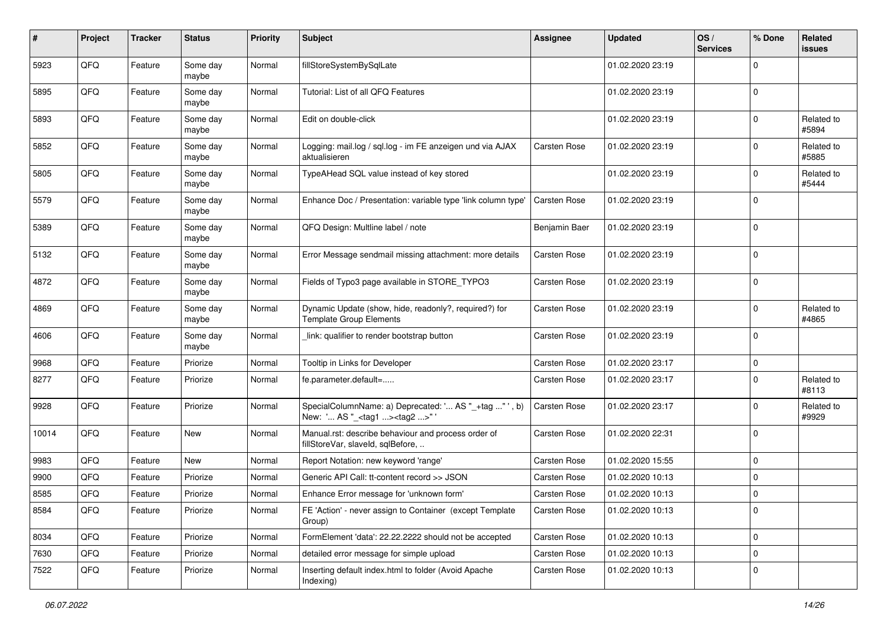| #     | Project | <b>Tracker</b> | <b>Status</b>     | <b>Priority</b> | <b>Subject</b>                                                                                      | <b>Assignee</b> | <b>Updated</b>   | OS/<br><b>Services</b> | % Done      | Related<br>issues   |
|-------|---------|----------------|-------------------|-----------------|-----------------------------------------------------------------------------------------------------|-----------------|------------------|------------------------|-------------|---------------------|
| 5923  | QFQ     | Feature        | Some day<br>maybe | Normal          | fillStoreSystemBySqlLate                                                                            |                 | 01.02.2020 23:19 |                        | $\mathbf 0$ |                     |
| 5895  | QFQ     | Feature        | Some day<br>maybe | Normal          | Tutorial: List of all QFQ Features                                                                  |                 | 01.02.2020 23:19 |                        | $\mathbf 0$ |                     |
| 5893  | QFQ     | Feature        | Some day<br>maybe | Normal          | Edit on double-click                                                                                |                 | 01.02.2020 23:19 |                        | $\Omega$    | Related to<br>#5894 |
| 5852  | QFQ     | Feature        | Some day<br>maybe | Normal          | Logging: mail.log / sgl.log - im FE anzeigen und via AJAX<br>aktualisieren                          | Carsten Rose    | 01.02.2020 23:19 |                        | 0           | Related to<br>#5885 |
| 5805  | QFQ     | Feature        | Some day<br>maybe | Normal          | TypeAHead SQL value instead of key stored                                                           |                 | 01.02.2020 23:19 |                        | $\mathbf 0$ | Related to<br>#5444 |
| 5579  | QFQ     | Feature        | Some day<br>maybe | Normal          | Enhance Doc / Presentation: variable type 'link column type'                                        | Carsten Rose    | 01.02.2020 23:19 |                        | $\mathbf 0$ |                     |
| 5389  | QFQ     | Feature        | Some day<br>maybe | Normal          | QFQ Design: Multline label / note                                                                   | Benjamin Baer   | 01.02.2020 23:19 |                        | $\mathbf 0$ |                     |
| 5132  | QFQ     | Feature        | Some day<br>maybe | Normal          | Error Message sendmail missing attachment: more details                                             | Carsten Rose    | 01.02.2020 23:19 |                        | $\mathbf 0$ |                     |
| 4872  | QFQ     | Feature        | Some day<br>maybe | Normal          | Fields of Typo3 page available in STORE_TYPO3                                                       | Carsten Rose    | 01.02.2020 23:19 |                        | $\mathbf 0$ |                     |
| 4869  | QFQ     | Feature        | Some day<br>maybe | Normal          | Dynamic Update (show, hide, readonly?, required?) for<br><b>Template Group Elements</b>             | Carsten Rose    | 01.02.2020 23:19 |                        | $\mathbf 0$ | Related to<br>#4865 |
| 4606  | QFQ     | Feature        | Some day<br>maybe | Normal          | link: qualifier to render bootstrap button                                                          | Carsten Rose    | 01.02.2020 23:19 |                        | $\Omega$    |                     |
| 9968  | QFQ     | Feature        | Priorize          | Normal          | Tooltip in Links for Developer                                                                      | Carsten Rose    | 01.02.2020 23:17 |                        | $\mathbf 0$ |                     |
| 8277  | QFQ     | Feature        | Priorize          | Normal          | fe.parameter.default=                                                                               | Carsten Rose    | 01.02.2020 23:17 |                        | $\mathbf 0$ | Related to<br>#8113 |
| 9928  | QFQ     | Feature        | Priorize          | Normal          | SpecialColumnName: a) Deprecated: ' AS "_+tag " ', b)<br>New: ' AS "_ <tag1><tag2>" '</tag2></tag1> | Carsten Rose    | 01.02.2020 23:17 |                        | $\mathbf 0$ | Related to<br>#9929 |
| 10014 | QFQ     | Feature        | New               | Normal          | Manual.rst: describe behaviour and process order of<br>fillStoreVar, slaveId, sqlBefore,            | Carsten Rose    | 01.02.2020 22:31 |                        | $\mathbf 0$ |                     |
| 9983  | QFQ     | Feature        | New               | Normal          | Report Notation: new keyword 'range'                                                                | Carsten Rose    | 01.02.2020 15:55 |                        | $\Omega$    |                     |
| 9900  | QFQ     | Feature        | Priorize          | Normal          | Generic API Call: tt-content record >> JSON                                                         | Carsten Rose    | 01.02.2020 10:13 |                        | 0           |                     |
| 8585  | QFQ     | Feature        | Priorize          | Normal          | Enhance Error message for 'unknown form'                                                            | Carsten Rose    | 01.02.2020 10:13 |                        | $\mathbf 0$ |                     |
| 8584  | QFQ     | Feature        | Priorize          | Normal          | FE 'Action' - never assign to Container (except Template<br>Group)                                  | Carsten Rose    | 01.02.2020 10:13 |                        | $\mathbf 0$ |                     |
| 8034  | QFQ     | Feature        | Priorize          | Normal          | FormElement 'data': 22.22.2222 should not be accepted                                               | Carsten Rose    | 01.02.2020 10:13 |                        | 0           |                     |
| 7630  | QFQ     | Feature        | Priorize          | Normal          | detailed error message for simple upload                                                            | Carsten Rose    | 01.02.2020 10:13 |                        | $\mathbf 0$ |                     |
| 7522  | QFQ     | Feature        | Priorize          | Normal          | Inserting default index.html to folder (Avoid Apache<br>Indexing)                                   | Carsten Rose    | 01.02.2020 10:13 |                        | 0           |                     |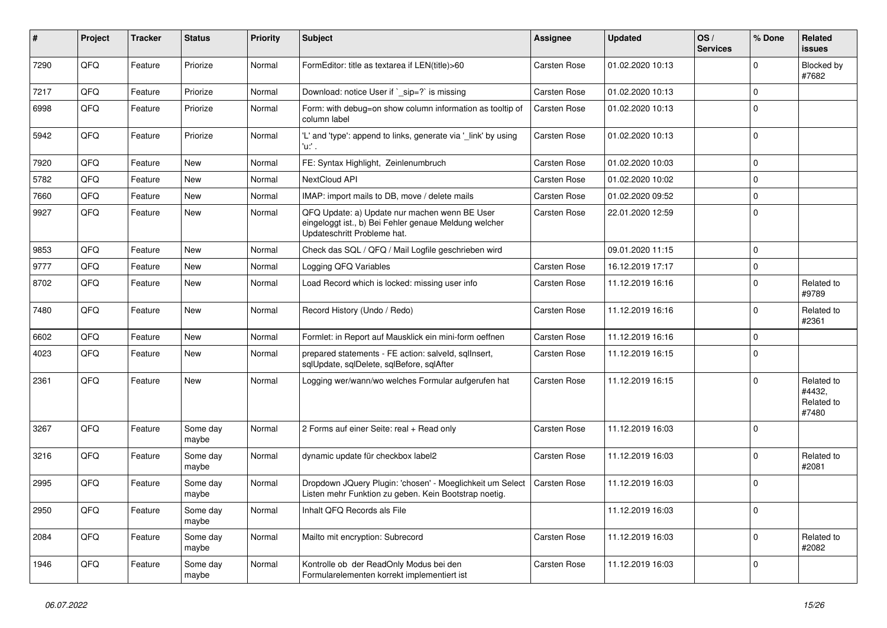| ∦    | Project | <b>Tracker</b> | <b>Status</b>     | <b>Priority</b> | <b>Subject</b>                                                                                                                        | <b>Assignee</b> | <b>Updated</b>   | OS/<br><b>Services</b> | % Done         | Related<br><b>issues</b>                    |
|------|---------|----------------|-------------------|-----------------|---------------------------------------------------------------------------------------------------------------------------------------|-----------------|------------------|------------------------|----------------|---------------------------------------------|
| 7290 | QFQ     | Feature        | Priorize          | Normal          | FormEditor: title as textarea if LEN(title)>60                                                                                        | Carsten Rose    | 01.02.2020 10:13 |                        | 0              | Blocked by<br>#7682                         |
| 7217 | QFQ     | Feature        | Priorize          | Normal          | Download: notice User if `_sip=?` is missing                                                                                          | Carsten Rose    | 01.02.2020 10:13 |                        | 0              |                                             |
| 6998 | QFQ     | Feature        | Priorize          | Normal          | Form: with debug=on show column information as tooltip of<br>column label                                                             | Carsten Rose    | 01.02.2020 10:13 |                        | $\mathbf 0$    |                                             |
| 5942 | QFQ     | Feature        | Priorize          | Normal          | 'L' and 'type': append to links, generate via '_link' by using<br>'u:' .                                                              | Carsten Rose    | 01.02.2020 10:13 |                        | $\Omega$       |                                             |
| 7920 | QFQ     | Feature        | New               | Normal          | FE: Syntax Highlight, Zeinlenumbruch                                                                                                  | Carsten Rose    | 01.02.2020 10:03 |                        | 0              |                                             |
| 5782 | QFQ     | Feature        | <b>New</b>        | Normal          | NextCloud API                                                                                                                         | Carsten Rose    | 01.02.2020 10:02 |                        | 0              |                                             |
| 7660 | QFQ     | Feature        | New               | Normal          | IMAP: import mails to DB, move / delete mails                                                                                         | Carsten Rose    | 01.02.2020 09:52 |                        | 0              |                                             |
| 9927 | QFQ     | Feature        | New               | Normal          | QFQ Update: a) Update nur machen wenn BE User<br>eingeloggt ist., b) Bei Fehler genaue Meldung welcher<br>Updateschritt Probleme hat. | Carsten Rose    | 22.01.2020 12:59 |                        | $\mathbf 0$    |                                             |
| 9853 | QFQ     | Feature        | <b>New</b>        | Normal          | Check das SQL / QFQ / Mail Logfile geschrieben wird                                                                                   |                 | 09.01.2020 11:15 |                        | $\mathbf 0$    |                                             |
| 9777 | QFQ     | Feature        | New               | Normal          | Logging QFQ Variables                                                                                                                 | Carsten Rose    | 16.12.2019 17:17 |                        | $\Omega$       |                                             |
| 8702 | QFQ     | Feature        | <b>New</b>        | Normal          | Load Record which is locked: missing user info                                                                                        | Carsten Rose    | 11.12.2019 16:16 |                        | $\mathbf 0$    | Related to<br>#9789                         |
| 7480 | QFQ     | Feature        | New               | Normal          | Record History (Undo / Redo)                                                                                                          | Carsten Rose    | 11.12.2019 16:16 |                        | 0              | Related to<br>#2361                         |
| 6602 | QFQ     | Feature        | New               | Normal          | Formlet: in Report auf Mausklick ein mini-form oeffnen                                                                                | Carsten Rose    | 11.12.2019 16:16 |                        | 0              |                                             |
| 4023 | QFQ     | Feature        | New               | Normal          | prepared statements - FE action: salveld, sqllnsert,<br>sqlUpdate, sqlDelete, sqlBefore, sqlAfter                                     | Carsten Rose    | 11.12.2019 16:15 |                        | $\Omega$       |                                             |
| 2361 | QFQ     | Feature        | <b>New</b>        | Normal          | Logging wer/wann/wo welches Formular aufgerufen hat                                                                                   | Carsten Rose    | 11.12.2019 16:15 |                        | $\overline{0}$ | Related to<br>#4432,<br>Related to<br>#7480 |
| 3267 | QFQ     | Feature        | Some day<br>maybe | Normal          | 2 Forms auf einer Seite: real + Read only                                                                                             | Carsten Rose    | 11.12.2019 16:03 |                        | 0              |                                             |
| 3216 | QFQ     | Feature        | Some day<br>maybe | Normal          | dynamic update für checkbox label2                                                                                                    | Carsten Rose    | 11.12.2019 16:03 |                        | $\mathbf 0$    | Related to<br>#2081                         |
| 2995 | QFQ     | Feature        | Some day<br>maybe | Normal          | Dropdown JQuery Plugin: 'chosen' - Moeglichkeit um Select<br>Listen mehr Funktion zu geben. Kein Bootstrap noetig.                    | Carsten Rose    | 11.12.2019 16:03 |                        | $\overline{0}$ |                                             |
| 2950 | QFQ     | Feature        | Some day<br>maybe | Normal          | Inhalt QFQ Records als File                                                                                                           |                 | 11.12.2019 16:03 |                        | $\Omega$       |                                             |
| 2084 | QFQ     | Feature        | Some day<br>maybe | Normal          | Mailto mit encryption: Subrecord                                                                                                      | Carsten Rose    | 11.12.2019 16:03 |                        | $\Omega$       | Related to<br>#2082                         |
| 1946 | QFQ     | Feature        | Some day<br>maybe | Normal          | Kontrolle ob der ReadOnly Modus bei den<br>Formularelementen korrekt implementiert ist                                                | Carsten Rose    | 11.12.2019 16:03 |                        | 0              |                                             |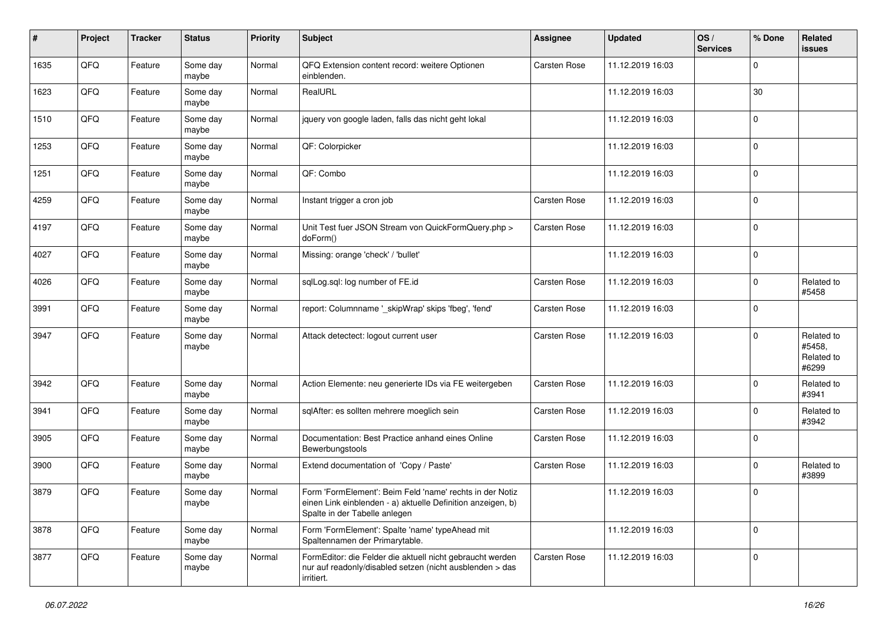| #    | Project | <b>Tracker</b> | <b>Status</b>     | <b>Priority</b> | <b>Subject</b>                                                                                                                                           | <b>Assignee</b> | <b>Updated</b>   | OS/<br><b>Services</b> | % Done      | Related<br>issues                           |
|------|---------|----------------|-------------------|-----------------|----------------------------------------------------------------------------------------------------------------------------------------------------------|-----------------|------------------|------------------------|-------------|---------------------------------------------|
| 1635 | QFQ     | Feature        | Some day<br>maybe | Normal          | QFQ Extension content record: weitere Optionen<br>einblenden.                                                                                            | Carsten Rose    | 11.12.2019 16:03 |                        | $\mathbf 0$ |                                             |
| 1623 | QFQ     | Feature        | Some day<br>maybe | Normal          | RealURL                                                                                                                                                  |                 | 11.12.2019 16:03 |                        | 30          |                                             |
| 1510 | QFQ     | Feature        | Some day<br>maybe | Normal          | jquery von google laden, falls das nicht geht lokal                                                                                                      |                 | 11.12.2019 16:03 |                        | $\Omega$    |                                             |
| 1253 | QFQ     | Feature        | Some day<br>maybe | Normal          | QF: Colorpicker                                                                                                                                          |                 | 11.12.2019 16:03 |                        | $\mathbf 0$ |                                             |
| 1251 | QFQ     | Feature        | Some day<br>maybe | Normal          | QF: Combo                                                                                                                                                |                 | 11.12.2019 16:03 |                        | $\mathbf 0$ |                                             |
| 4259 | QFQ     | Feature        | Some day<br>maybe | Normal          | Instant trigger a cron job                                                                                                                               | Carsten Rose    | 11.12.2019 16:03 |                        | $\mathbf 0$ |                                             |
| 4197 | QFQ     | Feature        | Some day<br>maybe | Normal          | Unit Test fuer JSON Stream von QuickFormQuery.php ><br>doForm()                                                                                          | Carsten Rose    | 11.12.2019 16:03 |                        | $\mathbf 0$ |                                             |
| 4027 | QFQ     | Feature        | Some day<br>maybe | Normal          | Missing: orange 'check' / 'bullet'                                                                                                                       |                 | 11.12.2019 16:03 |                        | $\mathbf 0$ |                                             |
| 4026 | QFQ     | Feature        | Some day<br>maybe | Normal          | sqlLog.sql: log number of FE.id                                                                                                                          | Carsten Rose    | 11.12.2019 16:03 |                        | $\mathbf 0$ | Related to<br>#5458                         |
| 3991 | QFQ     | Feature        | Some day<br>maybe | Normal          | report: Columnname '_skipWrap' skips 'fbeg', 'fend'                                                                                                      | Carsten Rose    | 11.12.2019 16:03 |                        | $\mathbf 0$ |                                             |
| 3947 | QFQ     | Feature        | Some day<br>maybe | Normal          | Attack detectect: logout current user                                                                                                                    | Carsten Rose    | 11.12.2019 16:03 |                        | $\mathbf 0$ | Related to<br>#5458,<br>Related to<br>#6299 |
| 3942 | QFQ     | Feature        | Some day<br>maybe | Normal          | Action Elemente: neu generierte IDs via FE weitergeben                                                                                                   | Carsten Rose    | 11.12.2019 16:03 |                        | $\mathbf 0$ | Related to<br>#3941                         |
| 3941 | QFQ     | Feature        | Some day<br>maybe | Normal          | sqlAfter: es sollten mehrere moeglich sein                                                                                                               | Carsten Rose    | 11.12.2019 16:03 |                        | $\mathbf 0$ | Related to<br>#3942                         |
| 3905 | QFQ     | Feature        | Some day<br>maybe | Normal          | Documentation: Best Practice anhand eines Online<br>Bewerbungstools                                                                                      | Carsten Rose    | 11.12.2019 16:03 |                        | $\Omega$    |                                             |
| 3900 | QFQ     | Feature        | Some day<br>maybe | Normal          | Extend documentation of 'Copy / Paste'                                                                                                                   | Carsten Rose    | 11.12.2019 16:03 |                        | $\mathbf 0$ | Related to<br>#3899                         |
| 3879 | QFQ     | Feature        | Some day<br>maybe | Normal          | Form 'FormElement': Beim Feld 'name' rechts in der Notiz<br>einen Link einblenden - a) aktuelle Definition anzeigen, b)<br>Spalte in der Tabelle anlegen |                 | 11.12.2019 16:03 |                        | $\mathbf 0$ |                                             |
| 3878 | QFQ     | Feature        | Some day<br>maybe | Normal          | Form 'FormElement': Spalte 'name' typeAhead mit<br>Spaltennamen der Primarytable.                                                                        |                 | 11.12.2019 16:03 |                        | $\mathbf 0$ |                                             |
| 3877 | QFQ     | Feature        | Some day<br>maybe | Normal          | FormEditor: die Felder die aktuell nicht gebraucht werden<br>nur auf readonly/disabled setzen (nicht ausblenden > das<br>irritiert.                      | Carsten Rose    | 11.12.2019 16:03 |                        | 0           |                                             |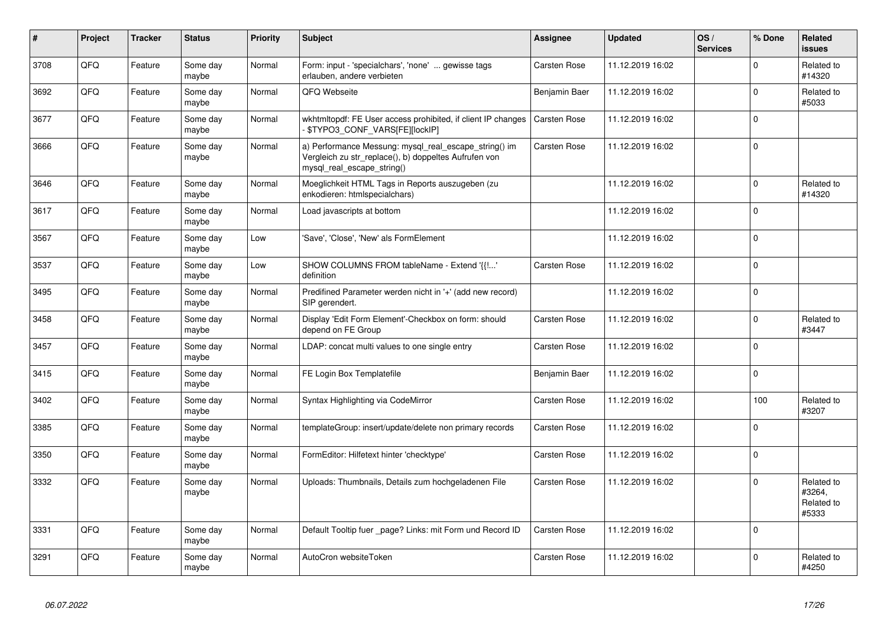| #    | Project | <b>Tracker</b> | <b>Status</b>     | <b>Priority</b> | <b>Subject</b>                                                                                                                               | Assignee      | <b>Updated</b>   | OS/<br><b>Services</b> | % Done       | <b>Related</b><br><b>issues</b>             |
|------|---------|----------------|-------------------|-----------------|----------------------------------------------------------------------------------------------------------------------------------------------|---------------|------------------|------------------------|--------------|---------------------------------------------|
| 3708 | QFQ     | Feature        | Some day<br>maybe | Normal          | Form: input - 'specialchars', 'none'  gewisse tags<br>erlauben, andere verbieten                                                             | Carsten Rose  | 11.12.2019 16:02 |                        | $\Omega$     | Related to<br>#14320                        |
| 3692 | QFQ     | Feature        | Some day<br>maybe | Normal          | QFQ Webseite                                                                                                                                 | Benjamin Baer | 11.12.2019 16:02 |                        | $\mathbf 0$  | Related to<br>#5033                         |
| 3677 | QFQ     | Feature        | Some day<br>maybe | Normal          | wkhtmitopdf: FE User access prohibited, if client IP changes<br>\$TYPO3_CONF_VARS[FE][lockIP]                                                | Carsten Rose  | 11.12.2019 16:02 |                        | $\mathbf 0$  |                                             |
| 3666 | QFQ     | Feature        | Some day<br>maybe | Normal          | a) Performance Messung: mysql_real_escape_string() im<br>Vergleich zu str replace(), b) doppeltes Aufrufen von<br>mysql_real_escape_string() | Carsten Rose  | 11.12.2019 16:02 |                        | $\mathbf 0$  |                                             |
| 3646 | QFQ     | Feature        | Some day<br>maybe | Normal          | Moeglichkeit HTML Tags in Reports auszugeben (zu<br>enkodieren: htmlspecialchars)                                                            |               | 11.12.2019 16:02 |                        | $\Omega$     | Related to<br>#14320                        |
| 3617 | QFQ     | Feature        | Some day<br>maybe | Normal          | Load javascripts at bottom                                                                                                                   |               | 11.12.2019 16:02 |                        | $\Omega$     |                                             |
| 3567 | QFQ     | Feature        | Some day<br>maybe | Low             | 'Save', 'Close', 'New' als FormElement                                                                                                       |               | 11.12.2019 16:02 |                        | $\Omega$     |                                             |
| 3537 | QFQ     | Feature        | Some day<br>maybe | Low             | SHOW COLUMNS FROM tableName - Extend '{{!'<br>definition                                                                                     | Carsten Rose  | 11.12.2019 16:02 |                        | $\Omega$     |                                             |
| 3495 | QFQ     | Feature        | Some day<br>maybe | Normal          | Predifined Parameter werden nicht in '+' (add new record)<br>SIP gerendert.                                                                  |               | 11.12.2019 16:02 |                        | $\mathbf{0}$ |                                             |
| 3458 | QFQ     | Feature        | Some day<br>maybe | Normal          | Display 'Edit Form Element'-Checkbox on form: should<br>depend on FE Group                                                                   | Carsten Rose  | 11.12.2019 16:02 |                        | $\mathbf{0}$ | Related to<br>#3447                         |
| 3457 | QFQ     | Feature        | Some day<br>maybe | Normal          | LDAP: concat multi values to one single entry                                                                                                | Carsten Rose  | 11.12.2019 16:02 |                        | $\Omega$     |                                             |
| 3415 | QFQ     | Feature        | Some day<br>maybe | Normal          | FE Login Box Templatefile                                                                                                                    | Benjamin Baer | 11.12.2019 16:02 |                        | $\Omega$     |                                             |
| 3402 | QFQ     | Feature        | Some day<br>maybe | Normal          | Syntax Highlighting via CodeMirror                                                                                                           | Carsten Rose  | 11.12.2019 16:02 |                        | 100          | Related to<br>#3207                         |
| 3385 | QFQ     | Feature        | Some day<br>maybe | Normal          | templateGroup: insert/update/delete non primary records                                                                                      | Carsten Rose  | 11.12.2019 16:02 |                        | 0            |                                             |
| 3350 | QFQ     | Feature        | Some day<br>maybe | Normal          | FormEditor: Hilfetext hinter 'checktype'                                                                                                     | Carsten Rose  | 11.12.2019 16:02 |                        | $\Omega$     |                                             |
| 3332 | QFQ     | Feature        | Some day<br>maybe | Normal          | Uploads: Thumbnails, Details zum hochgeladenen File                                                                                          | Carsten Rose  | 11.12.2019 16:02 |                        | $\Omega$     | Related to<br>#3264.<br>Related to<br>#5333 |
| 3331 | QFQ     | Feature        | Some day<br>maybe | Normal          | Default Tooltip fuer page? Links: mit Form und Record ID                                                                                     | Carsten Rose  | 11.12.2019 16:02 |                        | $\mathbf 0$  |                                             |
| 3291 | QFQ     | Feature        | Some day<br>maybe | Normal          | AutoCron websiteToken                                                                                                                        | Carsten Rose  | 11.12.2019 16:02 |                        | $\mathbf 0$  | Related to<br>#4250                         |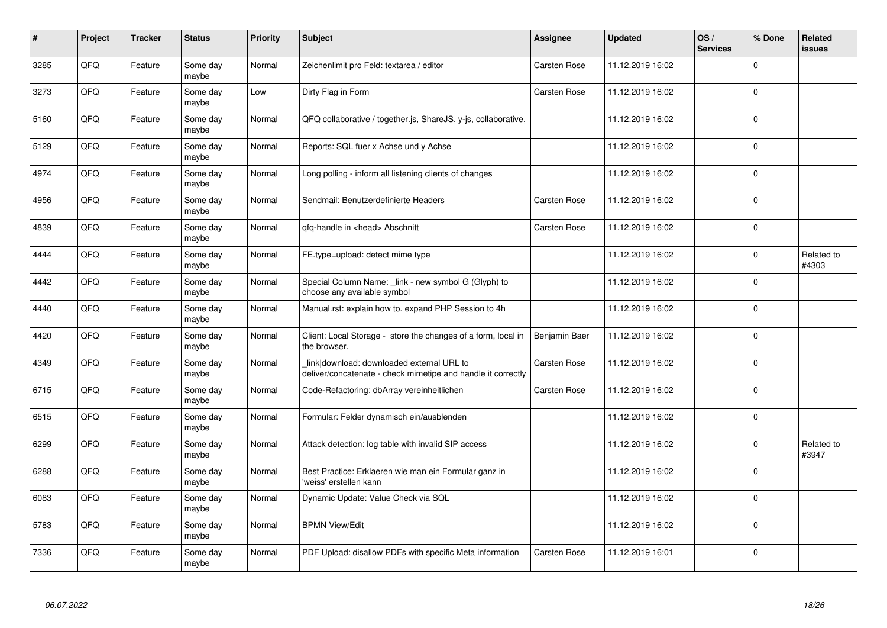| #    | Project | <b>Tracker</b> | <b>Status</b>     | <b>Priority</b> | <b>Subject</b>                                                                                            | Assignee      | <b>Updated</b>   | OS/<br><b>Services</b> | % Done      | Related<br><b>issues</b> |
|------|---------|----------------|-------------------|-----------------|-----------------------------------------------------------------------------------------------------------|---------------|------------------|------------------------|-------------|--------------------------|
| 3285 | QFQ     | Feature        | Some day<br>maybe | Normal          | Zeichenlimit pro Feld: textarea / editor                                                                  | Carsten Rose  | 11.12.2019 16:02 |                        | $\Omega$    |                          |
| 3273 | QFQ     | Feature        | Some day<br>maybe | Low             | Dirty Flag in Form                                                                                        | Carsten Rose  | 11.12.2019 16:02 |                        | $\mathbf 0$ |                          |
| 5160 | QFQ     | Feature        | Some day<br>maybe | Normal          | QFQ collaborative / together.js, ShareJS, y-js, collaborative,                                            |               | 11.12.2019 16:02 |                        | $\Omega$    |                          |
| 5129 | QFQ     | Feature        | Some day<br>maybe | Normal          | Reports: SQL fuer x Achse und y Achse                                                                     |               | 11.12.2019 16:02 |                        | $\Omega$    |                          |
| 4974 | QFQ     | Feature        | Some day<br>maybe | Normal          | Long polling - inform all listening clients of changes                                                    |               | 11.12.2019 16:02 |                        | $\mathbf 0$ |                          |
| 4956 | QFQ     | Feature        | Some day<br>maybe | Normal          | Sendmail: Benutzerdefinierte Headers                                                                      | Carsten Rose  | 11.12.2019 16:02 |                        | $\Omega$    |                          |
| 4839 | QFQ     | Feature        | Some day<br>maybe | Normal          | gfg-handle in <head> Abschnitt</head>                                                                     | Carsten Rose  | 11.12.2019 16:02 |                        | $\mathbf 0$ |                          |
| 4444 | QFQ     | Feature        | Some day<br>maybe | Normal          | FE.type=upload: detect mime type                                                                          |               | 11.12.2019 16:02 |                        | $\mathbf 0$ | Related to<br>#4303      |
| 4442 | QFQ     | Feature        | Some day<br>maybe | Normal          | Special Column Name: _link - new symbol G (Glyph) to<br>choose any available symbol                       |               | 11.12.2019 16:02 |                        | $\Omega$    |                          |
| 4440 | QFQ     | Feature        | Some day<br>maybe | Normal          | Manual.rst: explain how to. expand PHP Session to 4h                                                      |               | 11.12.2019 16:02 |                        | $\mathbf 0$ |                          |
| 4420 | QFQ     | Feature        | Some day<br>maybe | Normal          | Client: Local Storage - store the changes of a form, local in<br>the browser.                             | Benjamin Baer | 11.12.2019 16:02 |                        | $\mathbf 0$ |                          |
| 4349 | QFQ     | Feature        | Some day<br>maybe | Normal          | link download: downloaded external URL to<br>deliver/concatenate - check mimetipe and handle it correctly | Carsten Rose  | 11.12.2019 16:02 |                        | $\mathbf 0$ |                          |
| 6715 | QFQ     | Feature        | Some day<br>maybe | Normal          | Code-Refactoring: dbArray vereinheitlichen                                                                | Carsten Rose  | 11.12.2019 16:02 |                        | $\mathbf 0$ |                          |
| 6515 | QFQ     | Feature        | Some day<br>maybe | Normal          | Formular: Felder dynamisch ein/ausblenden                                                                 |               | 11.12.2019 16:02 |                        | $\mathbf 0$ |                          |
| 6299 | QFQ     | Feature        | Some day<br>maybe | Normal          | Attack detection: log table with invalid SIP access                                                       |               | 11.12.2019 16:02 |                        | $\Omega$    | Related to<br>#3947      |
| 6288 | QFQ     | Feature        | Some day<br>maybe | Normal          | Best Practice: Erklaeren wie man ein Formular ganz in<br>'weiss' erstellen kann                           |               | 11.12.2019 16:02 |                        | $\Omega$    |                          |
| 6083 | QFQ     | Feature        | Some day<br>maybe | Normal          | Dynamic Update: Value Check via SQL                                                                       |               | 11.12.2019 16:02 |                        | $\pmb{0}$   |                          |
| 5783 | QFQ     | Feature        | Some day<br>maybe | Normal          | <b>BPMN View/Edit</b>                                                                                     |               | 11.12.2019 16:02 |                        | $\mathbf 0$ |                          |
| 7336 | QFQ     | Feature        | Some day<br>maybe | Normal          | PDF Upload: disallow PDFs with specific Meta information                                                  | Carsten Rose  | 11.12.2019 16:01 |                        | $\Omega$    |                          |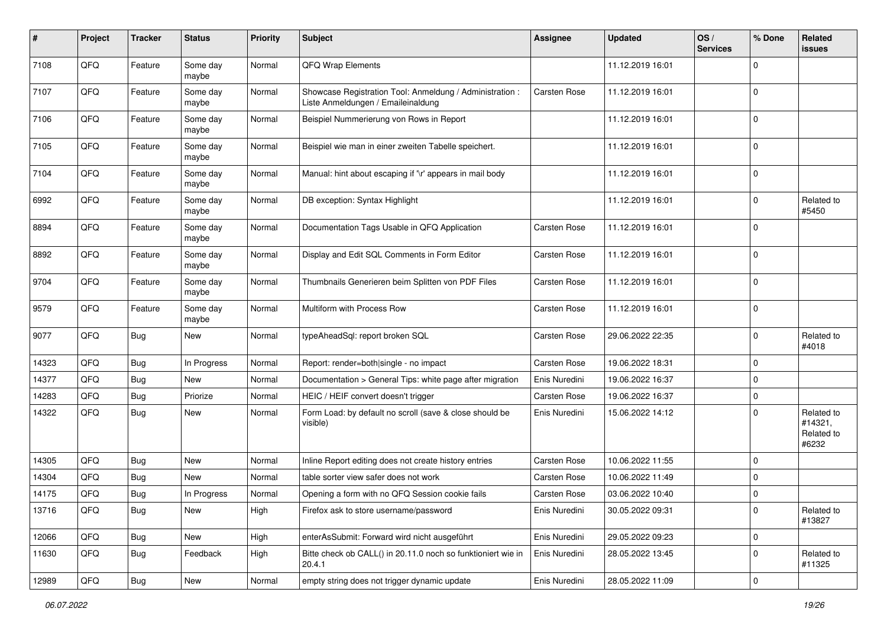| #     | Project | <b>Tracker</b> | <b>Status</b>     | <b>Priority</b> | <b>Subject</b>                                                                                 | <b>Assignee</b> | <b>Updated</b>   | OS/<br><b>Services</b> | % Done         | Related<br><b>issues</b>                     |
|-------|---------|----------------|-------------------|-----------------|------------------------------------------------------------------------------------------------|-----------------|------------------|------------------------|----------------|----------------------------------------------|
| 7108  | QFQ     | Feature        | Some day<br>maybe | Normal          | QFQ Wrap Elements                                                                              |                 | 11.12.2019 16:01 |                        | $\Omega$       |                                              |
| 7107  | QFQ     | Feature        | Some day<br>maybe | Normal          | Showcase Registration Tool: Anmeldung / Administration :<br>Liste Anmeldungen / Emaileinaldung | Carsten Rose    | 11.12.2019 16:01 |                        | 0              |                                              |
| 7106  | QFQ     | Feature        | Some day<br>maybe | Normal          | Beispiel Nummerierung von Rows in Report                                                       |                 | 11.12.2019 16:01 |                        | $\mathbf 0$    |                                              |
| 7105  | QFQ     | Feature        | Some day<br>maybe | Normal          | Beispiel wie man in einer zweiten Tabelle speichert.                                           |                 | 11.12.2019 16:01 |                        | $\mathbf 0$    |                                              |
| 7104  | QFQ     | Feature        | Some day<br>maybe | Normal          | Manual: hint about escaping if '\r' appears in mail body                                       |                 | 11.12.2019 16:01 |                        | $\mathbf 0$    |                                              |
| 6992  | QFQ     | Feature        | Some day<br>maybe | Normal          | DB exception: Syntax Highlight                                                                 |                 | 11.12.2019 16:01 |                        | $\mathbf 0$    | Related to<br>#5450                          |
| 8894  | QFQ     | Feature        | Some day<br>maybe | Normal          | Documentation Tags Usable in QFQ Application                                                   | Carsten Rose    | 11.12.2019 16:01 |                        | $\mathbf 0$    |                                              |
| 8892  | QFQ     | Feature        | Some day<br>maybe | Normal          | Display and Edit SQL Comments in Form Editor                                                   | Carsten Rose    | 11.12.2019 16:01 |                        | $\mathbf 0$    |                                              |
| 9704  | QFQ     | Feature        | Some day<br>maybe | Normal          | Thumbnails Generieren beim Splitten von PDF Files                                              | Carsten Rose    | 11.12.2019 16:01 |                        | $\mathbf 0$    |                                              |
| 9579  | QFQ     | Feature        | Some day<br>maybe | Normal          | Multiform with Process Row                                                                     | Carsten Rose    | 11.12.2019 16:01 |                        | $\mathbf 0$    |                                              |
| 9077  | QFQ     | <b>Bug</b>     | New               | Normal          | typeAheadSql: report broken SQL                                                                | Carsten Rose    | 29.06.2022 22:35 |                        | 0              | Related to<br>#4018                          |
| 14323 | QFQ     | Bug            | In Progress       | Normal          | Report: render=both single - no impact                                                         | Carsten Rose    | 19.06.2022 18:31 |                        | 0              |                                              |
| 14377 | QFQ     | Bug            | <b>New</b>        | Normal          | Documentation > General Tips: white page after migration                                       | Enis Nuredini   | 19.06.2022 16:37 |                        | $\mathbf 0$    |                                              |
| 14283 | QFQ     | Bug            | Priorize          | Normal          | HEIC / HEIF convert doesn't trigger                                                            | Carsten Rose    | 19.06.2022 16:37 |                        | $\mathbf 0$    |                                              |
| 14322 | QFQ     | Bug            | New               | Normal          | Form Load: by default no scroll (save & close should be<br>visible)                            | Enis Nuredini   | 15.06.2022 14:12 |                        | $\Omega$       | Related to<br>#14321,<br>Related to<br>#6232 |
| 14305 | QFQ     | <b>Bug</b>     | New               | Normal          | Inline Report editing does not create history entries                                          | Carsten Rose    | 10.06.2022 11:55 |                        | $\mathbf 0$    |                                              |
| 14304 | QFQ     | Bug            | New               | Normal          | table sorter view safer does not work                                                          | Carsten Rose    | 10.06.2022 11:49 |                        | $\mathbf 0$    |                                              |
| 14175 | QFQ     | Bug            | In Progress       | Normal          | Opening a form with no QFQ Session cookie fails                                                | Carsten Rose    | 03.06.2022 10:40 |                        | 0              |                                              |
| 13716 | QFG     | <b>Bug</b>     | New               | High            | Firefox ask to store username/password                                                         | Enis Nuredini   | 30.05.2022 09:31 |                        | $\overline{0}$ | Related to<br>#13827                         |
| 12066 | QFQ     | <b>Bug</b>     | New               | High            | enterAsSubmit: Forward wird nicht ausgeführt                                                   | Enis Nuredini   | 29.05.2022 09:23 |                        | $\mathbf 0$    |                                              |
| 11630 | QFQ     | Bug            | Feedback          | High            | Bitte check ob CALL() in 20.11.0 noch so funktioniert wie in<br>20.4.1                         | Enis Nuredini   | 28.05.2022 13:45 |                        | $\mathbf 0$    | Related to<br>#11325                         |
| 12989 | QFQ     | Bug            | New               | Normal          | empty string does not trigger dynamic update                                                   | Enis Nuredini   | 28.05.2022 11:09 |                        | $\pmb{0}$      |                                              |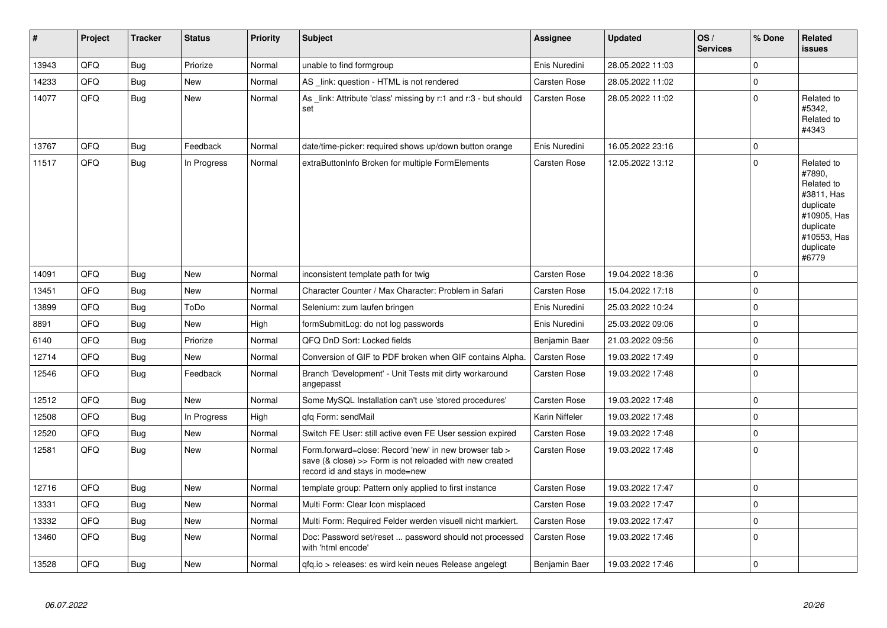| $\vert$ # | Project | <b>Tracker</b> | <b>Status</b> | <b>Priority</b> | <b>Subject</b>                                                                                                                                      | Assignee            | <b>Updated</b>   | OS/<br><b>Services</b> | % Done       | <b>Related</b><br><b>issues</b>                                                                                                |
|-----------|---------|----------------|---------------|-----------------|-----------------------------------------------------------------------------------------------------------------------------------------------------|---------------------|------------------|------------------------|--------------|--------------------------------------------------------------------------------------------------------------------------------|
| 13943     | QFQ     | <b>Bug</b>     | Priorize      | Normal          | unable to find formgroup                                                                                                                            | Enis Nuredini       | 28.05.2022 11:03 |                        | $\Omega$     |                                                                                                                                |
| 14233     | QFQ     | <b>Bug</b>     | New           | Normal          | AS _link: question - HTML is not rendered                                                                                                           | Carsten Rose        | 28.05.2022 11:02 |                        | $\pmb{0}$    |                                                                                                                                |
| 14077     | QFQ     | <b>Bug</b>     | <b>New</b>    | Normal          | As link: Attribute 'class' missing by r:1 and r:3 - but should<br>set                                                                               | Carsten Rose        | 28.05.2022 11:02 |                        | $\mathbf 0$  | Related to<br>#5342,<br>Related to<br>#4343                                                                                    |
| 13767     | QFQ     | Bug            | Feedback      | Normal          | date/time-picker: required shows up/down button orange                                                                                              | Enis Nuredini       | 16.05.2022 23:16 |                        | $\mathbf{0}$ |                                                                                                                                |
| 11517     | QFQ     | Bug            | In Progress   | Normal          | extraButtonInfo Broken for multiple FormElements                                                                                                    | Carsten Rose        | 12.05.2022 13:12 |                        | $\mathbf{0}$ | Related to<br>#7890,<br>Related to<br>#3811, Has<br>duplicate<br>#10905, Has<br>duplicate<br>#10553, Has<br>duplicate<br>#6779 |
| 14091     | QFQ     | <b>Bug</b>     | <b>New</b>    | Normal          | inconsistent template path for twig                                                                                                                 | Carsten Rose        | 19.04.2022 18:36 |                        | $\mathbf 0$  |                                                                                                                                |
| 13451     | QFQ     | Bug            | New           | Normal          | Character Counter / Max Character: Problem in Safari                                                                                                | Carsten Rose        | 15.04.2022 17:18 |                        | $\mathbf{0}$ |                                                                                                                                |
| 13899     | QFQ     | Bug            | ToDo          | Normal          | Selenium: zum laufen bringen                                                                                                                        | Enis Nuredini       | 25.03.2022 10:24 |                        | $\mathbf 0$  |                                                                                                                                |
| 8891      | QFQ     | <b>Bug</b>     | New           | High            | formSubmitLog: do not log passwords                                                                                                                 | Enis Nuredini       | 25.03.2022 09:06 |                        | $\Omega$     |                                                                                                                                |
| 6140      | QFQ     | <b>Bug</b>     | Priorize      | Normal          | QFQ DnD Sort: Locked fields                                                                                                                         | Benjamin Baer       | 21.03.2022 09:56 |                        | $\mathbf 0$  |                                                                                                                                |
| 12714     | QFQ     | Bug            | <b>New</b>    | Normal          | Conversion of GIF to PDF broken when GIF contains Alpha.                                                                                            | Carsten Rose        | 19.03.2022 17:49 |                        | $\mathbf 0$  |                                                                                                                                |
| 12546     | QFQ     | <b>Bug</b>     | Feedback      | Normal          | Branch 'Development' - Unit Tests mit dirty workaround<br>angepasst                                                                                 | Carsten Rose        | 19.03.2022 17:48 |                        | $\Omega$     |                                                                                                                                |
| 12512     | QFQ     | <b>Bug</b>     | <b>New</b>    | Normal          | Some MySQL Installation can't use 'stored procedures'                                                                                               | Carsten Rose        | 19.03.2022 17:48 |                        | $\mathbf 0$  |                                                                                                                                |
| 12508     | QFQ     | <b>Bug</b>     | In Progress   | High            | qfq Form: sendMail                                                                                                                                  | Karin Niffeler      | 19.03.2022 17:48 |                        | $\pmb{0}$    |                                                                                                                                |
| 12520     | QFQ     | <b>Bug</b>     | <b>New</b>    | Normal          | Switch FE User: still active even FE User session expired                                                                                           | Carsten Rose        | 19.03.2022 17:48 |                        | $\mathbf{0}$ |                                                                                                                                |
| 12581     | QFQ     | <b>Bug</b>     | New           | Normal          | Form.forward=close: Record 'new' in new browser tab ><br>save (& close) >> Form is not reloaded with new created<br>record id and stays in mode=new | Carsten Rose        | 19.03.2022 17:48 |                        | $\pmb{0}$    |                                                                                                                                |
| 12716     | QFQ     | <b>Bug</b>     | <b>New</b>    | Normal          | template group: Pattern only applied to first instance                                                                                              | Carsten Rose        | 19.03.2022 17:47 |                        | $\mathbf 0$  |                                                                                                                                |
| 13331     | QFQ     | Bug            | <b>New</b>    | Normal          | Multi Form: Clear Icon misplaced                                                                                                                    | Carsten Rose        | 19.03.2022 17:47 |                        | $\mathbf 0$  |                                                                                                                                |
| 13332     | QFQ     | <b>Bug</b>     | <b>New</b>    | Normal          | Multi Form: Required Felder werden visuell nicht markiert.                                                                                          | <b>Carsten Rose</b> | 19.03.2022 17:47 |                        | $\mathsf 0$  |                                                                                                                                |
| 13460     | QFQ     | Bug            | New           | Normal          | Doc: Password set/reset  password should not processed<br>with 'html encode'                                                                        | Carsten Rose        | 19.03.2022 17:46 |                        | $\mathbf 0$  |                                                                                                                                |
| 13528     | QFQ     | Bug            | <b>New</b>    | Normal          | gfg.io > releases: es wird kein neues Release angelegt                                                                                              | Benjamin Baer       | 19.03.2022 17:46 |                        | $\mathsf 0$  |                                                                                                                                |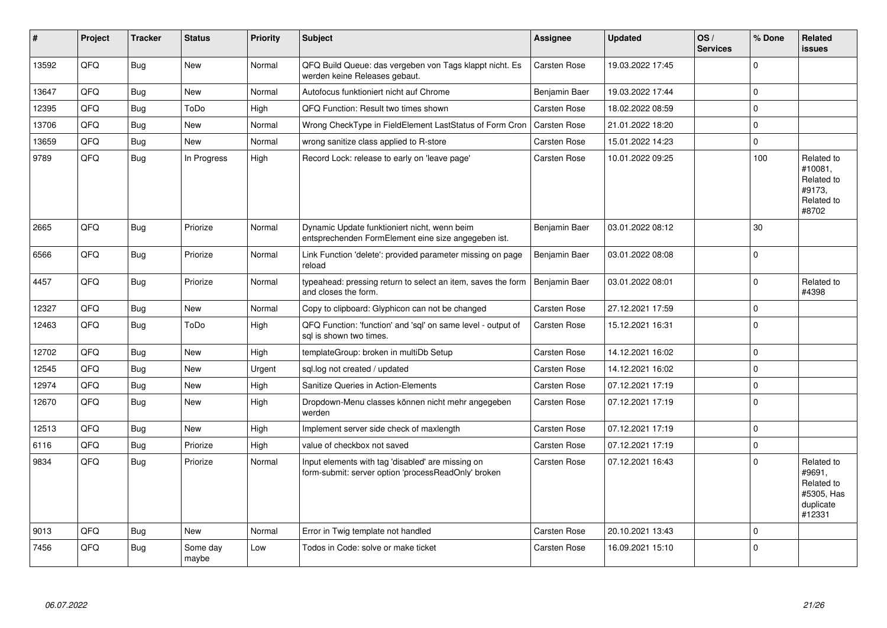| #     | Project | <b>Tracker</b> | <b>Status</b>     | <b>Priority</b> | <b>Subject</b>                                                                                           | <b>Assignee</b> | <b>Updated</b>   | OS/<br><b>Services</b> | % Done         | Related<br>issues                                                       |
|-------|---------|----------------|-------------------|-----------------|----------------------------------------------------------------------------------------------------------|-----------------|------------------|------------------------|----------------|-------------------------------------------------------------------------|
| 13592 | QFQ     | <b>Bug</b>     | <b>New</b>        | Normal          | QFQ Build Queue: das vergeben von Tags klappt nicht. Es<br>werden keine Releases gebaut.                 | Carsten Rose    | 19.03.2022 17:45 |                        | $\Omega$       |                                                                         |
| 13647 | QFQ     | <b>Bug</b>     | <b>New</b>        | Normal          | Autofocus funktioniert nicht auf Chrome                                                                  | Benjamin Baer   | 19.03.2022 17:44 |                        | $\Omega$       |                                                                         |
| 12395 | QFQ     | <b>Bug</b>     | ToDo              | High            | QFQ Function: Result two times shown                                                                     | Carsten Rose    | 18.02.2022 08:59 |                        | $\Omega$       |                                                                         |
| 13706 | QFQ     | <b>Bug</b>     | New               | Normal          | Wrong CheckType in FieldElement LastStatus of Form Cron                                                  | Carsten Rose    | 21.01.2022 18:20 |                        | 0              |                                                                         |
| 13659 | QFQ     | <b>Bug</b>     | <b>New</b>        | Normal          | wrong sanitize class applied to R-store                                                                  | Carsten Rose    | 15.01.2022 14:23 |                        | $\Omega$       |                                                                         |
| 9789  | QFQ     | <b>Bug</b>     | In Progress       | High            | Record Lock: release to early on 'leave page'                                                            | Carsten Rose    | 10.01.2022 09:25 |                        | 100            | Related to<br>#10081.<br>Related to<br>#9173.<br>Related to<br>#8702    |
| 2665  | QFQ     | <b>Bug</b>     | Priorize          | Normal          | Dynamic Update funktioniert nicht, wenn beim<br>entsprechenden FormElement eine size angegeben ist.      | Benjamin Baer   | 03.01.2022 08:12 |                        | 30             |                                                                         |
| 6566  | QFQ     | Bug            | Priorize          | Normal          | Link Function 'delete': provided parameter missing on page<br>reload                                     | Benjamin Baer   | 03.01.2022 08:08 |                        | $\Omega$       |                                                                         |
| 4457  | QFQ     | <b>Bug</b>     | Priorize          | Normal          | typeahead: pressing return to select an item, saves the form<br>and closes the form.                     | Benjamin Baer   | 03.01.2022 08:01 |                        | $\overline{0}$ | Related to<br>#4398                                                     |
| 12327 | QFQ     | <b>Bug</b>     | <b>New</b>        | Normal          | Copy to clipboard: Glyphicon can not be changed                                                          | Carsten Rose    | 27.12.2021 17:59 |                        | $\mathbf{0}$   |                                                                         |
| 12463 | QFQ     | <b>Bug</b>     | ToDo              | High            | QFQ Function: 'function' and 'sql' on same level - output of<br>sal is shown two times.                  | Carsten Rose    | 15.12.2021 16:31 |                        | $\Omega$       |                                                                         |
| 12702 | QFQ     | <b>Bug</b>     | New               | High            | templateGroup: broken in multiDb Setup                                                                   | Carsten Rose    | 14.12.2021 16:02 |                        | 0              |                                                                         |
| 12545 | QFQ     | Bug            | <b>New</b>        | Urgent          | sql.log not created / updated                                                                            | Carsten Rose    | 14.12.2021 16:02 |                        | 0              |                                                                         |
| 12974 | QFQ     | <b>Bug</b>     | New               | High            | Sanitize Queries in Action-Elements                                                                      | Carsten Rose    | 07.12.2021 17:19 |                        | 0              |                                                                         |
| 12670 | QFQ     | <b>Bug</b>     | New               | High            | Dropdown-Menu classes können nicht mehr angegeben<br>werden                                              | Carsten Rose    | 07.12.2021 17:19 |                        | $\mathbf 0$    |                                                                         |
| 12513 | QFQ     | <b>Bug</b>     | <b>New</b>        | High            | Implement server side check of maxlength                                                                 | Carsten Rose    | 07.12.2021 17:19 |                        | $\Omega$       |                                                                         |
| 6116  | QFQ     | <b>Bug</b>     | Priorize          | High            | value of checkbox not saved                                                                              | Carsten Rose    | 07.12.2021 17:19 |                        | $\Omega$       |                                                                         |
| 9834  | QFQ     | <b>Bug</b>     | Priorize          | Normal          | Input elements with tag 'disabled' are missing on<br>form-submit: server option 'processReadOnly' broken | Carsten Rose    | 07.12.2021 16:43 |                        | $\Omega$       | Related to<br>#9691.<br>Related to<br>#5305, Has<br>duplicate<br>#12331 |
| 9013  | QFQ     | Bug            | <b>New</b>        | Normal          | Error in Twig template not handled                                                                       | Carsten Rose    | 20.10.2021 13:43 |                        | 0              |                                                                         |
| 7456  | QFQ     | Bug            | Some day<br>maybe | Low             | Todos in Code: solve or make ticket                                                                      | Carsten Rose    | 16.09.2021 15:10 |                        | $\Omega$       |                                                                         |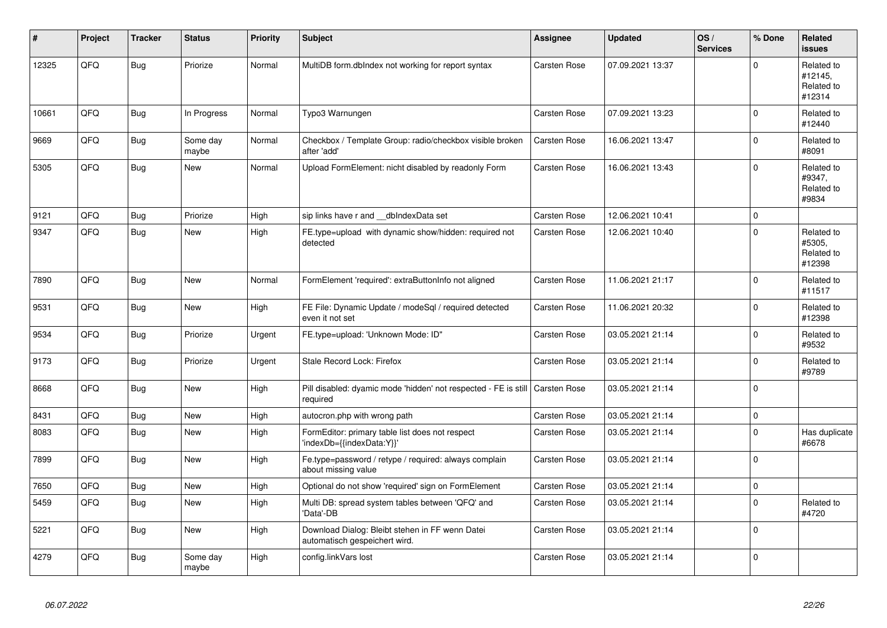| #     | Project | <b>Tracker</b> | <b>Status</b>     | <b>Priority</b> | <b>Subject</b>                                                                   | <b>Assignee</b>     | <b>Updated</b>   | OS/<br><b>Services</b> | % Done      | Related<br><b>issues</b>                      |
|-------|---------|----------------|-------------------|-----------------|----------------------------------------------------------------------------------|---------------------|------------------|------------------------|-------------|-----------------------------------------------|
| 12325 | QFQ     | <b>Bug</b>     | Priorize          | Normal          | MultiDB form.dblndex not working for report syntax                               | Carsten Rose        | 07.09.2021 13:37 |                        | $\Omega$    | Related to<br>#12145,<br>Related to<br>#12314 |
| 10661 | QFQ     | Bug            | In Progress       | Normal          | Typo3 Warnungen                                                                  | Carsten Rose        | 07.09.2021 13:23 |                        | $\Omega$    | Related to<br>#12440                          |
| 9669  | QFQ     | <b>Bug</b>     | Some day<br>maybe | Normal          | Checkbox / Template Group: radio/checkbox visible broken<br>after 'add'          | Carsten Rose        | 16.06.2021 13:47 |                        | $\Omega$    | Related to<br>#8091                           |
| 5305  | QFQ     | <b>Bug</b>     | <b>New</b>        | Normal          | Upload FormElement: nicht disabled by readonly Form                              | <b>Carsten Rose</b> | 16.06.2021 13:43 |                        | $\Omega$    | Related to<br>#9347.<br>Related to<br>#9834   |
| 9121  | QFQ     | Bug            | Priorize          | High            | sip links have r and __dbIndexData set                                           | Carsten Rose        | 12.06.2021 10:41 |                        | 0           |                                               |
| 9347  | QFQ     | <b>Bug</b>     | <b>New</b>        | High            | FE.type=upload with dynamic show/hidden: required not<br>detected                | <b>Carsten Rose</b> | 12.06.2021 10:40 |                        | $\Omega$    | Related to<br>#5305.<br>Related to<br>#12398  |
| 7890  | QFQ     | <b>Bug</b>     | <b>New</b>        | Normal          | FormElement 'required': extraButtonInfo not aligned                              | Carsten Rose        | 11.06.2021 21:17 |                        | $\Omega$    | Related to<br>#11517                          |
| 9531  | QFQ     | Bug            | <b>New</b>        | High            | FE File: Dynamic Update / modeSgl / required detected<br>even it not set         | Carsten Rose        | 11.06.2021 20:32 |                        | $\Omega$    | Related to<br>#12398                          |
| 9534  | QFQ     | <b>Bug</b>     | Priorize          | Urgent          | FE.type=upload: 'Unknown Mode: ID"                                               | Carsten Rose        | 03.05.2021 21:14 |                        | $\Omega$    | Related to<br>#9532                           |
| 9173  | QFQ     | Bug            | Priorize          | Urgent          | Stale Record Lock: Firefox                                                       | Carsten Rose        | 03.05.2021 21:14 |                        | $\Omega$    | Related to<br>#9789                           |
| 8668  | QFQ     | <b>Bug</b>     | New               | High            | Pill disabled: dyamic mode 'hidden' not respected - FE is still<br>required      | Carsten Rose        | 03.05.2021 21:14 |                        | $\Omega$    |                                               |
| 8431  | QFQ     | <b>Bug</b>     | <b>New</b>        | High            | autocron.php with wrong path                                                     | Carsten Rose        | 03.05.2021 21:14 |                        | $\Omega$    |                                               |
| 8083  | QFQ     | Bug            | New               | High            | FormEditor: primary table list does not respect<br>'indexDb={{indexData:Y}}'     | Carsten Rose        | 03.05.2021 21:14 |                        | $\Omega$    | Has duplicate<br>#6678                        |
| 7899  | QFQ     | Bug            | <b>New</b>        | High            | Fe.type=password / retype / required: always complain<br>about missing value     | Carsten Rose        | 03.05.2021 21:14 |                        | $\Omega$    |                                               |
| 7650  | QFQ     | <b>Bug</b>     | New               | High            | Optional do not show 'required' sign on FormElement                              | Carsten Rose        | 03.05.2021 21:14 |                        | $\mathbf 0$ |                                               |
| 5459  | QFQ     | Bug            | New               | High            | Multi DB: spread system tables between 'QFQ' and<br>'Data'-DB                    | Carsten Rose        | 03.05.2021 21:14 |                        | $\Omega$    | Related to<br>#4720                           |
| 5221  | QFQ     | <b>Bug</b>     | <b>New</b>        | High            | Download Dialog: Bleibt stehen in FF wenn Datei<br>automatisch gespeichert wird. | Carsten Rose        | 03.05.2021 21:14 |                        | $\Omega$    |                                               |
| 4279  | QFQ     | <b>Bug</b>     | Some day<br>maybe | High            | config.linkVars lost                                                             | <b>Carsten Rose</b> | 03.05.2021 21:14 |                        | $\Omega$    |                                               |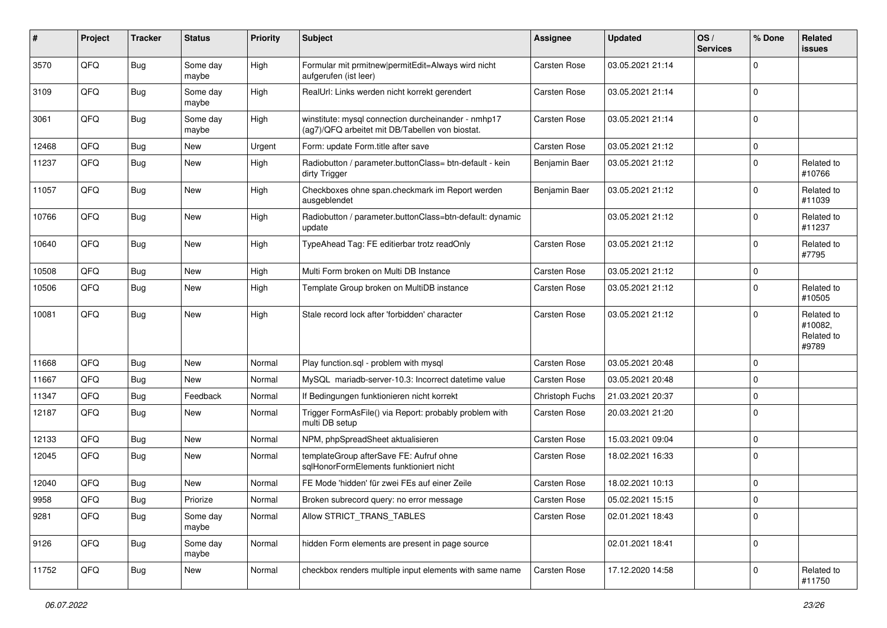| #     | Project | <b>Tracker</b> | <b>Status</b>     | <b>Priority</b> | Subject                                                                                                | <b>Assignee</b> | <b>Updated</b>   | OS/<br><b>Services</b> | % Done      | Related<br>issues                            |
|-------|---------|----------------|-------------------|-----------------|--------------------------------------------------------------------------------------------------------|-----------------|------------------|------------------------|-------------|----------------------------------------------|
| 3570  | QFQ     | Bug            | Some day<br>maybe | High            | Formular mit prmitnew permitEdit=Always wird nicht<br>aufgerufen (ist leer)                            | Carsten Rose    | 03.05.2021 21:14 |                        | $\mathbf 0$ |                                              |
| 3109  | QFQ     | Bug            | Some day<br>maybe | High            | RealUrl: Links werden nicht korrekt gerendert                                                          | Carsten Rose    | 03.05.2021 21:14 |                        | 0           |                                              |
| 3061  | QFQ     | <b>Bug</b>     | Some day<br>maybe | High            | winstitute: mysql connection durcheinander - nmhp17<br>(ag7)/QFQ arbeitet mit DB/Tabellen von biostat. | Carsten Rose    | 03.05.2021 21:14 |                        | 0           |                                              |
| 12468 | QFQ     | <b>Bug</b>     | New               | Urgent          | Form: update Form.title after save                                                                     | Carsten Rose    | 03.05.2021 21:12 |                        | $\mathbf 0$ |                                              |
| 11237 | QFQ     | Bug            | New               | High            | Radiobutton / parameter.buttonClass= btn-default - kein<br>dirty Trigger                               | Benjamin Baer   | 03.05.2021 21:12 |                        | $\mathbf 0$ | Related to<br>#10766                         |
| 11057 | QFQ     | Bug            | New               | High            | Checkboxes ohne span.checkmark im Report werden<br>ausgeblendet                                        | Benjamin Baer   | 03.05.2021 21:12 |                        | 0           | Related to<br>#11039                         |
| 10766 | QFQ     | <b>Bug</b>     | <b>New</b>        | High            | Radiobutton / parameter.buttonClass=btn-default: dynamic<br>update                                     |                 | 03.05.2021 21:12 |                        | $\mathbf 0$ | Related to<br>#11237                         |
| 10640 | QFQ     | Bug            | New               | High            | TypeAhead Tag: FE editierbar trotz readOnly                                                            | Carsten Rose    | 03.05.2021 21:12 |                        | $\mathbf 0$ | Related to<br>#7795                          |
| 10508 | QFQ     | <b>Bug</b>     | New               | High            | Multi Form broken on Multi DB Instance                                                                 | Carsten Rose    | 03.05.2021 21:12 |                        | 0           |                                              |
| 10506 | QFQ     | Bug            | New               | High            | Template Group broken on MultiDB instance                                                              | Carsten Rose    | 03.05.2021 21:12 |                        | $\Omega$    | Related to<br>#10505                         |
| 10081 | QFQ     | Bug            | <b>New</b>        | High            | Stale record lock after 'forbidden' character                                                          | Carsten Rose    | 03.05.2021 21:12 |                        | $\Omega$    | Related to<br>#10082,<br>Related to<br>#9789 |
| 11668 | QFQ     | <b>Bug</b>     | <b>New</b>        | Normal          | Play function.sql - problem with mysql                                                                 | Carsten Rose    | 03.05.2021 20:48 |                        | $\mathbf 0$ |                                              |
| 11667 | QFQ     | Bug            | New               | Normal          | MySQL mariadb-server-10.3: Incorrect datetime value                                                    | Carsten Rose    | 03.05.2021 20:48 |                        | 0           |                                              |
| 11347 | QFQ     | <b>Bug</b>     | Feedback          | Normal          | If Bedingungen funktionieren nicht korrekt                                                             | Christoph Fuchs | 21.03.2021 20:37 |                        | 0           |                                              |
| 12187 | QFQ     | <b>Bug</b>     | <b>New</b>        | Normal          | Trigger FormAsFile() via Report: probably problem with<br>multi DB setup                               | Carsten Rose    | 20.03.2021 21:20 |                        | $\Omega$    |                                              |
| 12133 | QFQ     | Bug            | New               | Normal          | NPM, phpSpreadSheet aktualisieren                                                                      | Carsten Rose    | 15.03.2021 09:04 |                        | 0           |                                              |
| 12045 | QFQ     | Bug            | <b>New</b>        | Normal          | templateGroup afterSave FE: Aufruf ohne<br>sqlHonorFormElements funktioniert nicht                     | Carsten Rose    | 18.02.2021 16:33 |                        | $\mathbf 0$ |                                              |
| 12040 | QFQ     | <b>Bug</b>     | <b>New</b>        | Normal          | FE Mode 'hidden' für zwei FEs auf einer Zeile                                                          | Carsten Rose    | 18.02.2021 10:13 |                        | 0           |                                              |
| 9958  | QFQ     | Bug            | Priorize          | Normal          | Broken subrecord query: no error message                                                               | Carsten Rose    | 05.02.2021 15:15 |                        | $\Omega$    |                                              |
| 9281  | QFQ     | <b>Bug</b>     | Some day<br>maybe | Normal          | Allow STRICT TRANS TABLES                                                                              | Carsten Rose    | 02.01.2021 18:43 |                        | $\mathbf 0$ |                                              |
| 9126  | QFQ     | <b>Bug</b>     | Some day<br>maybe | Normal          | hidden Form elements are present in page source                                                        |                 | 02.01.2021 18:41 |                        | $\mathbf 0$ |                                              |
| 11752 | QFQ     | Bug            | New               | Normal          | checkbox renders multiple input elements with same name                                                | Carsten Rose    | 17.12.2020 14:58 |                        | $\mathsf 0$ | Related to<br>#11750                         |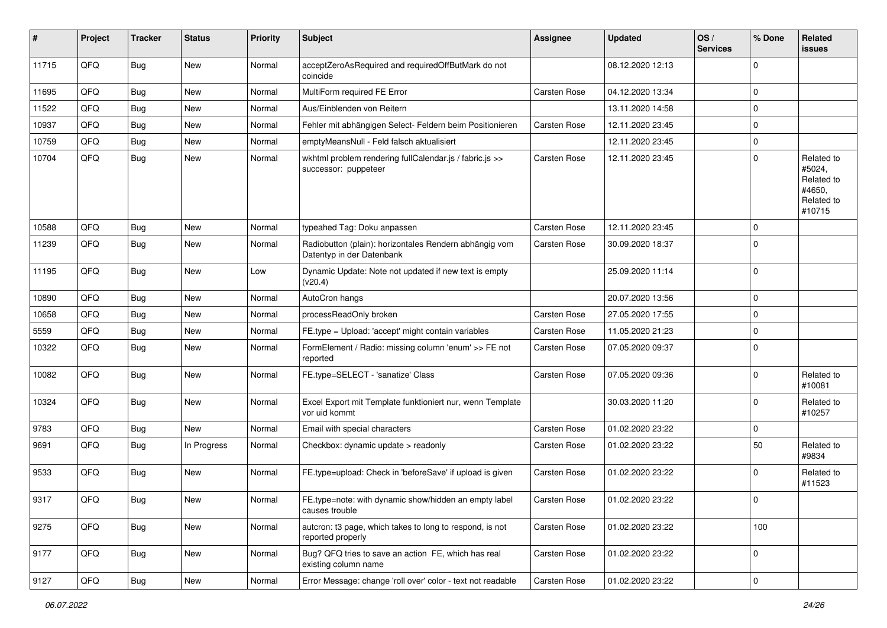| #     | Project        | <b>Tracker</b> | <b>Status</b> | <b>Priority</b> | <b>Subject</b>                                                                      | <b>Assignee</b> | <b>Updated</b>   | OS/<br><b>Services</b> | % Done      | Related<br><b>issues</b>                                             |
|-------|----------------|----------------|---------------|-----------------|-------------------------------------------------------------------------------------|-----------------|------------------|------------------------|-------------|----------------------------------------------------------------------|
| 11715 | QFQ            | <b>Bug</b>     | <b>New</b>    | Normal          | acceptZeroAsRequired and requiredOffButMark do not<br>coincide                      |                 | 08.12.2020 12:13 |                        | $\mathbf 0$ |                                                                      |
| 11695 | QFQ            | <b>Bug</b>     | <b>New</b>    | Normal          | MultiForm required FE Error                                                         | Carsten Rose    | 04.12.2020 13:34 |                        | 0           |                                                                      |
| 11522 | QFQ            | <b>Bug</b>     | New           | Normal          | Aus/Einblenden von Reitern                                                          |                 | 13.11.2020 14:58 |                        | 0           |                                                                      |
| 10937 | QFQ            | <b>Bug</b>     | <b>New</b>    | Normal          | Fehler mit abhängigen Select- Feldern beim Positionieren                            | Carsten Rose    | 12.11.2020 23:45 |                        | 0           |                                                                      |
| 10759 | QFQ            | <b>Bug</b>     | <b>New</b>    | Normal          | emptyMeansNull - Feld falsch aktualisiert                                           |                 | 12.11.2020 23:45 |                        | 0           |                                                                      |
| 10704 | QFQ            | <b>Bug</b>     | <b>New</b>    | Normal          | wkhtml problem rendering fullCalendar.js / fabric.js >><br>successor: puppeteer     | Carsten Rose    | 12.11.2020 23:45 |                        | 0           | Related to<br>#5024,<br>Related to<br>#4650.<br>Related to<br>#10715 |
| 10588 | QFQ            | <b>Bug</b>     | <b>New</b>    | Normal          | typeahed Tag: Doku anpassen                                                         | Carsten Rose    | 12.11.2020 23:45 |                        | 0           |                                                                      |
| 11239 | QFQ            | <b>Bug</b>     | <b>New</b>    | Normal          | Radiobutton (plain): horizontales Rendern abhängig vom<br>Datentyp in der Datenbank | Carsten Rose    | 30.09.2020 18:37 |                        | 0           |                                                                      |
| 11195 | QFQ            | <b>Bug</b>     | New           | Low             | Dynamic Update: Note not updated if new text is empty<br>(v20.4)                    |                 | 25.09.2020 11:14 |                        | 0           |                                                                      |
| 10890 | QFQ            | <b>Bug</b>     | New           | Normal          | AutoCron hangs                                                                      |                 | 20.07.2020 13:56 |                        | $\mathbf 0$ |                                                                      |
| 10658 | QFQ            | <b>Bug</b>     | <b>New</b>    | Normal          | processReadOnly broken                                                              | Carsten Rose    | 27.05.2020 17:55 |                        | 0           |                                                                      |
| 5559  | QFQ            | <b>Bug</b>     | <b>New</b>    | Normal          | FE.type = Upload: 'accept' might contain variables                                  | Carsten Rose    | 11.05.2020 21:23 |                        | 0           |                                                                      |
| 10322 | QFQ            | <b>Bug</b>     | <b>New</b>    | Normal          | FormElement / Radio: missing column 'enum' >> FE not<br>reported                    | Carsten Rose    | 07.05.2020 09:37 |                        | 0           |                                                                      |
| 10082 | QFQ            | Bug            | New           | Normal          | FE.type=SELECT - 'sanatize' Class                                                   | Carsten Rose    | 07.05.2020 09:36 |                        | $\mathbf 0$ | Related to<br>#10081                                                 |
| 10324 | QFQ            | <b>Bug</b>     | <b>New</b>    | Normal          | Excel Export mit Template funktioniert nur, wenn Template<br>vor uid kommt          |                 | 30.03.2020 11:20 |                        | $\mathbf 0$ | Related to<br>#10257                                                 |
| 9783  | QFQ            | <b>Bug</b>     | New           | Normal          | Email with special characters                                                       | Carsten Rose    | 01.02.2020 23:22 |                        | 0           |                                                                      |
| 9691  | QFQ            | Bug            | In Progress   | Normal          | Checkbox: dynamic update > readonly                                                 | Carsten Rose    | 01.02.2020 23:22 |                        | 50          | Related to<br>#9834                                                  |
| 9533  | QFQ            | <b>Bug</b>     | <b>New</b>    | Normal          | FE.type=upload: Check in 'beforeSave' if upload is given                            | Carsten Rose    | 01.02.2020 23:22 |                        | $\Omega$    | Related to<br>#11523                                                 |
| 9317  | $\mathsf{QFQ}$ | Bug            | <b>New</b>    | Normal          | FE.type=note: with dynamic show/hidden an empty label<br>causes trouble             | Carsten Rose    | 01.02.2020 23:22 |                        | $\mathbf 0$ |                                                                      |
| 9275  | QFQ            | <b>Bug</b>     | New           | Normal          | autcron: t3 page, which takes to long to respond, is not<br>reported properly       | Carsten Rose    | 01.02.2020 23:22 |                        | 100         |                                                                      |
| 9177  | QFQ            | Bug            | New           | Normal          | Bug? QFQ tries to save an action FE, which has real<br>existing column name         | Carsten Rose    | 01.02.2020 23:22 |                        | $\mathbf 0$ |                                                                      |
| 9127  | QFQ            | Bug            | New           | Normal          | Error Message: change 'roll over' color - text not readable                         | Carsten Rose    | 01.02.2020 23:22 |                        | $\pmb{0}$   |                                                                      |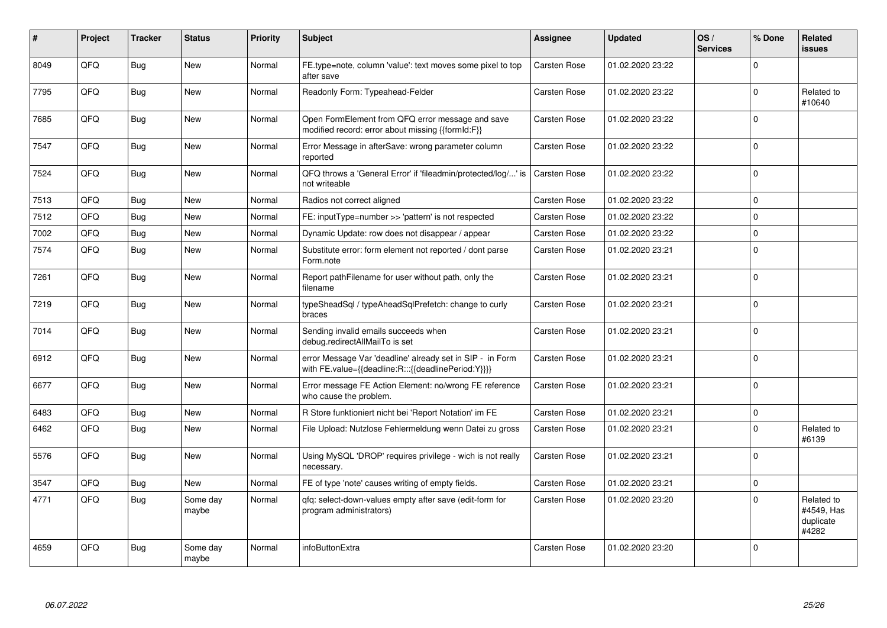| #    | Project | <b>Tracker</b> | <b>Status</b>     | <b>Priority</b> | <b>Subject</b>                                                                                                   | <b>Assignee</b>     | <b>Updated</b>   | OS/<br><b>Services</b> | % Done      | <b>Related</b><br>issues                       |
|------|---------|----------------|-------------------|-----------------|------------------------------------------------------------------------------------------------------------------|---------------------|------------------|------------------------|-------------|------------------------------------------------|
| 8049 | QFQ     | <b>Bug</b>     | <b>New</b>        | Normal          | FE.type=note, column 'value': text moves some pixel to top<br>after save                                         | Carsten Rose        | 01.02.2020 23:22 |                        | $\Omega$    |                                                |
| 7795 | QFQ     | Bug            | New               | Normal          | Readonly Form: Typeahead-Felder                                                                                  | Carsten Rose        | 01.02.2020 23:22 |                        | $\mathbf 0$ | Related to<br>#10640                           |
| 7685 | QFQ     | Bug            | <b>New</b>        | Normal          | Open FormElement from QFQ error message and save<br>modified record: error about missing {{formId:F}}            | Carsten Rose        | 01.02.2020 23:22 |                        | $\mathbf 0$ |                                                |
| 7547 | QFQ     | Bug            | New               | Normal          | Error Message in afterSave: wrong parameter column<br>reported                                                   | Carsten Rose        | 01.02.2020 23:22 |                        | $\Omega$    |                                                |
| 7524 | QFQ     | Bug            | New               | Normal          | QFQ throws a 'General Error' if 'fileadmin/protected/log/' is<br>not writeable                                   | <b>Carsten Rose</b> | 01.02.2020 23:22 |                        | $\mathbf 0$ |                                                |
| 7513 | QFQ     | Bug            | New               | Normal          | Radios not correct aligned                                                                                       | Carsten Rose        | 01.02.2020 23:22 |                        | $\mathbf 0$ |                                                |
| 7512 | QFQ     | Bug            | <b>New</b>        | Normal          | FE: inputType=number >> 'pattern' is not respected                                                               | Carsten Rose        | 01.02.2020 23:22 |                        | $\mathbf 0$ |                                                |
| 7002 | QFQ     | Bug            | <b>New</b>        | Normal          | Dynamic Update: row does not disappear / appear                                                                  | Carsten Rose        | 01.02.2020 23:22 |                        | $\mathbf 0$ |                                                |
| 7574 | QFQ     | Bug            | <b>New</b>        | Normal          | Substitute error: form element not reported / dont parse<br>Form.note                                            | Carsten Rose        | 01.02.2020 23:21 |                        | $\Omega$    |                                                |
| 7261 | QFQ     | <b>Bug</b>     | New               | Normal          | Report pathFilename for user without path, only the<br>filename                                                  | Carsten Rose        | 01.02.2020 23:21 |                        | $\Omega$    |                                                |
| 7219 | QFQ     | <b>Bug</b>     | <b>New</b>        | Normal          | typeSheadSql / typeAheadSqlPrefetch: change to curly<br>braces                                                   | Carsten Rose        | 01.02.2020 23:21 |                        | $\mathbf 0$ |                                                |
| 7014 | QFQ     | <b>Bug</b>     | <b>New</b>        | Normal          | Sending invalid emails succeeds when<br>debug.redirectAllMailTo is set                                           | Carsten Rose        | 01.02.2020 23:21 |                        | $\mathbf 0$ |                                                |
| 6912 | QFQ     | <b>Bug</b>     | <b>New</b>        | Normal          | error Message Var 'deadline' already set in SIP - in Form<br>with FE.value={{deadline:R:::{{deadlinePeriod:Y}}}} | Carsten Rose        | 01.02.2020 23:21 |                        | $\Omega$    |                                                |
| 6677 | QFQ     | <b>Bug</b>     | <b>New</b>        | Normal          | Error message FE Action Element: no/wrong FE reference<br>who cause the problem.                                 | Carsten Rose        | 01.02.2020 23:21 |                        | $\pmb{0}$   |                                                |
| 6483 | QFQ     | Bug            | New               | Normal          | R Store funktioniert nicht bei 'Report Notation' im FE                                                           | Carsten Rose        | 01.02.2020 23:21 |                        | $\mathbf 0$ |                                                |
| 6462 | QFQ     | Bug            | New               | Normal          | File Upload: Nutzlose Fehlermeldung wenn Datei zu gross                                                          | Carsten Rose        | 01.02.2020 23:21 |                        | $\mathbf 0$ | Related to<br>#6139                            |
| 5576 | QFQ     | Bug            | New               | Normal          | Using MySQL 'DROP' requires privilege - wich is not really<br>necessary.                                         | Carsten Rose        | 01.02.2020 23:21 |                        | $\mathbf 0$ |                                                |
| 3547 | QFQ     | Bug            | <b>New</b>        | Normal          | FE of type 'note' causes writing of empty fields.                                                                | Carsten Rose        | 01.02.2020 23:21 |                        | $\mathbf 0$ |                                                |
| 4771 | QFQ     | <b>Bug</b>     | Some day<br>maybe | Normal          | qfq: select-down-values empty after save (edit-form for<br>program administrators)                               | Carsten Rose        | 01.02.2020 23:20 |                        | $\Omega$    | Related to<br>#4549, Has<br>duplicate<br>#4282 |
| 4659 | QFQ     | <b>Bug</b>     | Some dav<br>maybe | Normal          | infoButtonExtra                                                                                                  | Carsten Rose        | 01.02.2020 23:20 |                        | $\mathbf 0$ |                                                |